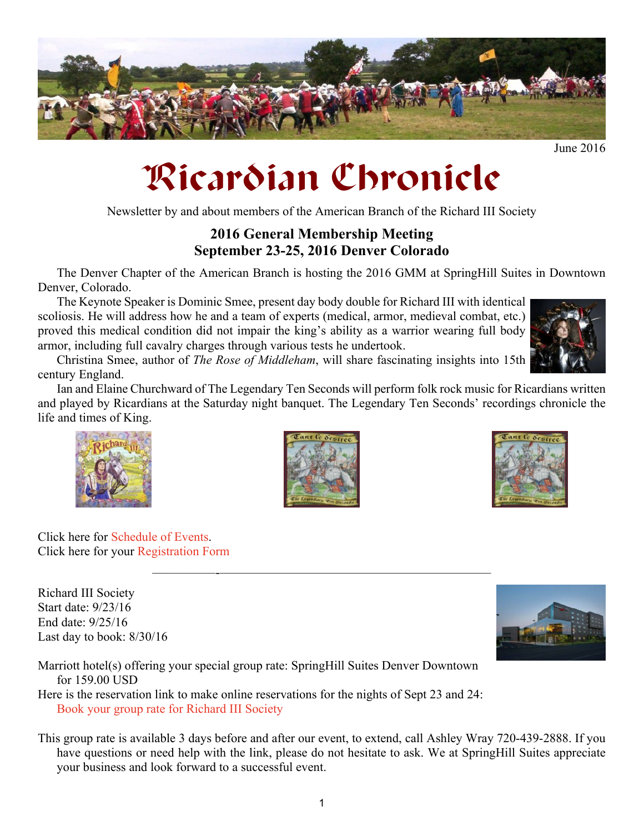

June 2016

# Ricardian Chronicle

Newsletter by and about members of the American Branch of the Richard III Society

# **2016 General Membership Meeting September 23-25, 2016 Denver Colorado**

The Denver Chapter of the American Branch is hosting the 2016 GMM at SpringHill Suites in Downtown Denver, Colorado.

The Keynote Speaker is Dominic Smee, present day body double for Richard III with identical scoliosis. He will address how he and a team of experts (medical, armor, medieval combat, etc.) proved this medical condition did not impair the king's ability as a warrior wearing full body armor, including full cavalry charges through various tests he undertook.

Christina Smee, author of *The Rose of Middleham*, will share fascinating insights into 15th century England.

Ian and Elaine Churchward of The Legendary Ten Seconds will perform folk rock music for Ricardians written and played by Ricardians at the Saturday night banquet. The Legendary Ten Seconds' recordings chronicle the life and times of King.



Click here for [Schedule of Events](http://www.r3.org/wp-content/uploads/2013/04/Denver_GMM_2016.pdf). Click here for your [Registration Form](http://www.r3.org/wp-content/uploads/2013/04/2016-GMM-REGISTRATION-FORM.pdf)

Richard III Society Start date: 9/23/16 End date: 9/25/16 Last day to book: 8/30/16



—––––––––-—————————————————————–





Marriott hotel(s) offering your special group rate: SpringHill Suites Denver Downtown for 159.00 USD

Here is the reservation link to make online reservations for the nights of Sept 23 and 24: [Book your group rate for Richard III Society](http://www.marriott.com/meeting-event-hotels/group-travel.mi)

This group rate is available 3 days before and after our event, to extend, call Ashley Wray 720-439-2888. If you have questions or need help with the link, please do not hesitate to ask. We at SpringHill Suites appreciate your business and look forward to a successful event.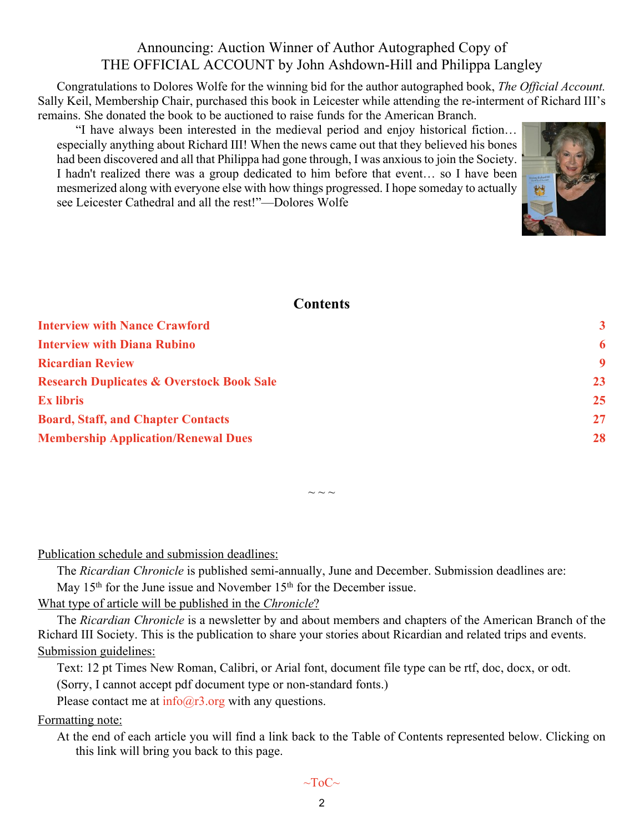### Announcing: Auction Winner of Author Autographed Copy of THE OFFICIAL ACCOUNT by John Ashdown-Hill and Philippa Langley

<span id="page-1-0"></span>Congratulations to Dolores Wolfe for the winning bid for the author autographed book, *The Official Account.* Sally Keil, Membership Chair, purchased this book in Leicester while attending the re-interment of Richard III's remains. She donated the book to be auctioned to raise funds for the American Branch.

"I have always been interested in the medieval period and enjoy historical fiction… especially anything about Richard III! When the news came out that they believed his bones had been discovered and all that Philippa had gone through, I was anxious to join the Society. I hadn't realized there was a group dedicated to him before that event… so I have been mesmerized along with everyone else with how things progressed. I hope someday to actually see Leicester Cathedral and all the rest!"—Dolores Wolfe



#### **Contents**

| <b>Interview with Nance Crawford</b>                 | $\overline{\mathbf{3}}$ |
|------------------------------------------------------|-------------------------|
| <b>Interview with Diana Rubino</b>                   | 6                       |
| <b>Ricardian Review</b>                              | -9                      |
| <b>Research Duplicates &amp; Overstock Book Sale</b> | 23                      |
| <b>Ex libris</b>                                     | 25                      |
| <b>Board, Staff, and Chapter Contacts</b>            | 27                      |
| <b>Membership Application/Renewal Dues</b>           | 28                      |
|                                                      |                         |

 $\sim$   $\sim$   $\sim$ 

Publication schedule and submission deadlines:

The *Ricardian Chronicle* is published semi-annually, June and December. Submission deadlines are: May 15<sup>th</sup> for the June issue and November 15<sup>th</sup> for the December issue.

#### What type of article will be published in the *Chronicle*?

The *Ricardian Chronicle* is a newsletter by and about members and chapters of the American Branch of the Richard III Society. This is the publication to share your stories about Ricardian and related trips and events. Submission guidelines:

Text: 12 pt Times New Roman, Calibri, or Arial font, document file type can be rtf, doc, docx, or odt.

(Sorry, I cannot accept pdf document type or non-standard fonts.)

Please contact me at  $info@r3.org$  with any questions.

#### Formatting note:

At the end of each article you will find a link back to the Table of Contents represented below. Clicking on this link will bring you back to this page.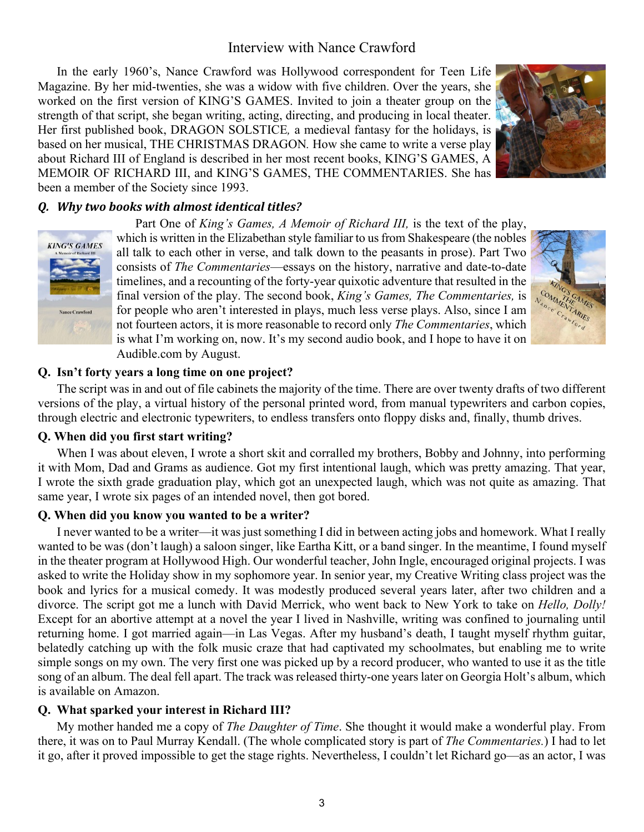## Interview with Nance Crawford

<span id="page-2-0"></span>In the early 1960's, Nance Crawford was Hollywood correspondent for Teen Life Magazine. By her mid-twenties, she was a widow with five children. Over the years, she worked on the first version of KING'S GAMES. Invited to join a theater group on the strength of that script, she began writing, acting, directing, and producing in local theater. Her first published book, DRAGON SOLSTICE*,* a medieval fantasy for the holidays, is based on her musical, THE CHRISTMAS DRAGON*.* How she came to write a verse play about Richard III of England is described in her most recent books, KING'S GAMES, A MEMOIR OF RICHARD III, and KING'S GAMES, THE COMMENTARIES. She has been a member of the Society since 1993.



#### *Q. Why two books with almost identical titles?*



Part One of *King's Games, A Memoir of Richard III,* is the text of the play, which is written in the Elizabethan style familiar to us from Shakespeare (the nobles all talk to each other in verse, and talk down to the peasants in prose). Part Two consists of *The Commentaries*—essays on the history, narrative and date-to-date timelines, and a recounting of the forty-year quixotic adventure that resulted in the final version of the play. The second book, *King's Games, The Commentaries,* is for people who aren't interested in plays, much less verse plays. Also, since I am not fourteen actors, it is more reasonable to record only *The Commentaries*, which is what I'm working on, now. It's my second audio book, and I hope to have it on Audible.com by August.



#### **Q. Isn't forty years a long time on one project?**

The script was in and out of file cabinets the majority of the time. There are over twenty drafts of two different versions of the play, a virtual history of the personal printed word, from manual typewriters and carbon copies, through electric and electronic typewriters, to endless transfers onto floppy disks and, finally, thumb drives.

#### **Q. When did you first start writing?**

When I was about eleven, I wrote a short skit and corralled my brothers, Bobby and Johnny, into performing it with Mom, Dad and Grams as audience. Got my first intentional laugh, which was pretty amazing. That year, I wrote the sixth grade graduation play, which got an unexpected laugh, which was not quite as amazing. That same year, I wrote six pages of an intended novel, then got bored.

#### **Q. When did you know you wanted to be a writer?**

I never wanted to be a writer—it was just something I did in between acting jobs and homework. What I really wanted to be was (don't laugh) a saloon singer, like Eartha Kitt, or a band singer. In the meantime, I found myself in the theater program at Hollywood High. Our wonderful teacher, John Ingle, encouraged original projects. I was asked to write the Holiday show in my sophomore year. In senior year, my Creative Writing class project was the book and lyrics for a musical comedy. It was modestly produced several years later, after two children and a divorce. The script got me a lunch with David Merrick, who went back to New York to take on *Hello, Dolly!* Except for an abortive attempt at a novel the year I lived in Nashville, writing was confined to journaling until returning home. I got married again—in Las Vegas. After my husband's death, I taught myself rhythm guitar, belatedly catching up with the folk music craze that had captivated my schoolmates, but enabling me to write simple songs on my own. The very first one was picked up by a record producer, who wanted to use it as the title song of an album. The deal fell apart. The track was released thirty-one years later on Georgia Holt's album, which is available on Amazon.

#### **Q. What sparked your interest in Richard III?**

My mother handed me a copy of *The Daughter of Time*. She thought it would make a wonderful play. From there, it was on to Paul Murray Kendall. (The whole complicated story is part of *The Commentaries.*) I had to let it go, after it proved impossible to get the stage rights. Nevertheless, I couldn't let Richard go—as an actor, I was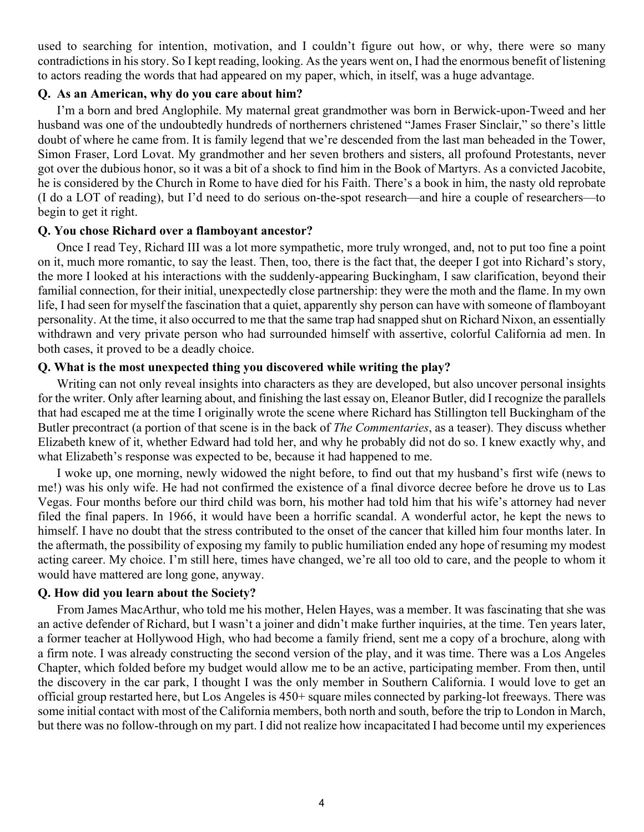used to searching for intention, motivation, and I couldn't figure out how, or why, there were so many contradictions in his story. So I kept reading, looking. As the years went on, I had the enormous benefit of listening to actors reading the words that had appeared on my paper, which, in itself, was a huge advantage.

#### **Q. As an American, why do you care about him?**

I'm a born and bred Anglophile. My maternal great grandmother was born in Berwick-upon-Tweed and her husband was one of the undoubtedly hundreds of northerners christened "James Fraser Sinclair," so there's little doubt of where he came from. It is family legend that we're descended from the last man beheaded in the Tower, Simon Fraser, Lord Lovat. My grandmother and her seven brothers and sisters, all profound Protestants, never got over the dubious honor, so it was a bit of a shock to find him in the Book of Martyrs. As a convicted Jacobite, he is considered by the Church in Rome to have died for his Faith. There's a book in him, the nasty old reprobate (I do a LOT of reading), but I'd need to do serious on-the-spot research—and hire a couple of researchers—to begin to get it right.

#### **Q. You chose Richard over a flamboyant ancestor?**

Once I read Tey, Richard III was a lot more sympathetic, more truly wronged, and, not to put too fine a point on it, much more romantic, to say the least. Then, too, there is the fact that, the deeper I got into Richard's story, the more I looked at his interactions with the suddenly-appearing Buckingham, I saw clarification, beyond their familial connection, for their initial, unexpectedly close partnership: they were the moth and the flame. In my own life, I had seen for myself the fascination that a quiet, apparently shy person can have with someone of flamboyant personality. At the time, it also occurred to me that the same trap had snapped shut on Richard Nixon, an essentially withdrawn and very private person who had surrounded himself with assertive, colorful California ad men. In both cases, it proved to be a deadly choice.

#### **Q. What is the most unexpected thing you discovered while writing the play?**

Writing can not only reveal insights into characters as they are developed, but also uncover personal insights for the writer. Only after learning about, and finishing the last essay on, Eleanor Butler, did I recognize the parallels that had escaped me at the time I originally wrote the scene where Richard has Stillington tell Buckingham of the Butler precontract (a portion of that scene is in the back of *The Commentaries*, as a teaser). They discuss whether Elizabeth knew of it, whether Edward had told her, and why he probably did not do so. I knew exactly why, and what Elizabeth's response was expected to be, because it had happened to me.

I woke up, one morning, newly widowed the night before, to find out that my husband's first wife (news to me!) was his only wife. He had not confirmed the existence of a final divorce decree before he drove us to Las Vegas. Four months before our third child was born, his mother had told him that his wife's attorney had never filed the final papers. In 1966, it would have been a horrific scandal. A wonderful actor, he kept the news to himself. I have no doubt that the stress contributed to the onset of the cancer that killed him four months later. In the aftermath, the possibility of exposing my family to public humiliation ended any hope of resuming my modest acting career. My choice. I'm still here, times have changed, we're all too old to care, and the people to whom it would have mattered are long gone, anyway.

#### **Q. How did you learn about the Society?**

From James MacArthur, who told me his mother, Helen Hayes, was a member. It was fascinating that she was an active defender of Richard, but I wasn't a joiner and didn't make further inquiries, at the time. Ten years later, a former teacher at Hollywood High, who had become a family friend, sent me a copy of a brochure, along with a firm note. I was already constructing the second version of the play, and it was time. There was a Los Angeles Chapter, which folded before my budget would allow me to be an active, participating member. From then, until the discovery in the car park, I thought I was the only member in Southern California. I would love to get an official group restarted here, but Los Angeles is 450+ square miles connected by parking-lot freeways. There was some initial contact with most of the California members, both north and south, before the trip to London in March, but there was no follow-through on my part. I did not realize how incapacitated I had become until my experiences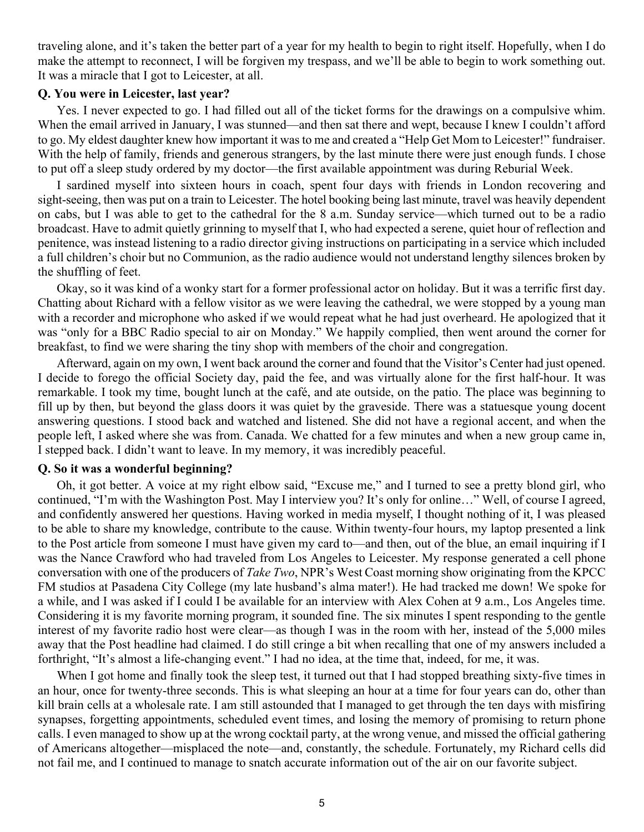traveling alone, and it's taken the better part of a year for my health to begin to right itself. Hopefully, when I do make the attempt to reconnect, I will be forgiven my trespass, and we'll be able to begin to work something out. It was a miracle that I got to Leicester, at all.

#### **Q. You were in Leicester, last year?**

Yes. I never expected to go. I had filled out all of the ticket forms for the drawings on a compulsive whim. When the email arrived in January, I was stunned—and then sat there and wept, because I knew I couldn't afford to go. My eldest daughter knew how important it was to me and created a "Help Get Mom to Leicester!" fundraiser. With the help of family, friends and generous strangers, by the last minute there were just enough funds. I chose to put off a sleep study ordered by my doctor—the first available appointment was during Reburial Week.

I sardined myself into sixteen hours in coach, spent four days with friends in London recovering and sight-seeing, then was put on a train to Leicester. The hotel booking being last minute, travel was heavily dependent on cabs, but I was able to get to the cathedral for the 8 a.m. Sunday service—which turned out to be a radio broadcast. Have to admit quietly grinning to myself that I, who had expected a serene, quiet hour of reflection and penitence, was instead listening to a radio director giving instructions on participating in a service which included a full children's choir but no Communion, as the radio audience would not understand lengthy silences broken by the shuffling of feet.

Okay, so it was kind of a wonky start for a former professional actor on holiday. But it was a terrific first day. Chatting about Richard with a fellow visitor as we were leaving the cathedral, we were stopped by a young man with a recorder and microphone who asked if we would repeat what he had just overheard. He apologized that it was "only for a BBC Radio special to air on Monday." We happily complied, then went around the corner for breakfast, to find we were sharing the tiny shop with members of the choir and congregation.

Afterward, again on my own, I went back around the corner and found that the Visitor's Center had just opened. I decide to forego the official Society day, paid the fee, and was virtually alone for the first half-hour. It was remarkable. I took my time, bought lunch at the café, and ate outside, on the patio. The place was beginning to fill up by then, but beyond the glass doors it was quiet by the graveside. There was a statuesque young docent answering questions. I stood back and watched and listened. She did not have a regional accent, and when the people left, I asked where she was from. Canada. We chatted for a few minutes and when a new group came in, I stepped back. I didn't want to leave. In my memory, it was incredibly peaceful.

#### **Q. So it was a wonderful beginning?**

Oh, it got better. A voice at my right elbow said, "Excuse me," and I turned to see a pretty blond girl, who continued, "I'm with the Washington Post. May I interview you? It's only for online…" Well, of course I agreed, and confidently answered her questions. Having worked in media myself, I thought nothing of it, I was pleased to be able to share my knowledge, contribute to the cause. Within twenty-four hours, my laptop presented a link to the Post article from someone I must have given my card to—and then, out of the blue, an email inquiring if I was the Nance Crawford who had traveled from Los Angeles to Leicester. My response generated a cell phone conversation with one of the producers of *Take Two*, NPR's West Coast morning show originating from the KPCC FM studios at Pasadena City College (my late husband's alma mater!). He had tracked me down! We spoke for a while, and I was asked if I could I be available for an interview with Alex Cohen at 9 a.m., Los Angeles time. Considering it is my favorite morning program, it sounded fine. The six minutes I spent responding to the gentle interest of my favorite radio host were clear—as though I was in the room with her, instead of the 5,000 miles away that the Post headline had claimed. I do still cringe a bit when recalling that one of my answers included a forthright, "It's almost a life-changing event." I had no idea, at the time that, indeed, for me, it was.

When I got home and finally took the sleep test, it turned out that I had stopped breathing sixty-five times in an hour, once for twenty-three seconds. This is what sleeping an hour at a time for four years can do, other than kill brain cells at a wholesale rate. I am still astounded that I managed to get through the ten days with misfiring synapses, forgetting appointments, scheduled event times, and losing the memory of promising to return phone calls. I even managed to show up at the wrong cocktail party, at the wrong venue, and missed the official gathering of Americans altogether—misplaced the note—and, constantly, the schedule. Fortunately, my Richard cells did not fail me, and I continued to manage to snatch accurate information out of the air on our favorite subject.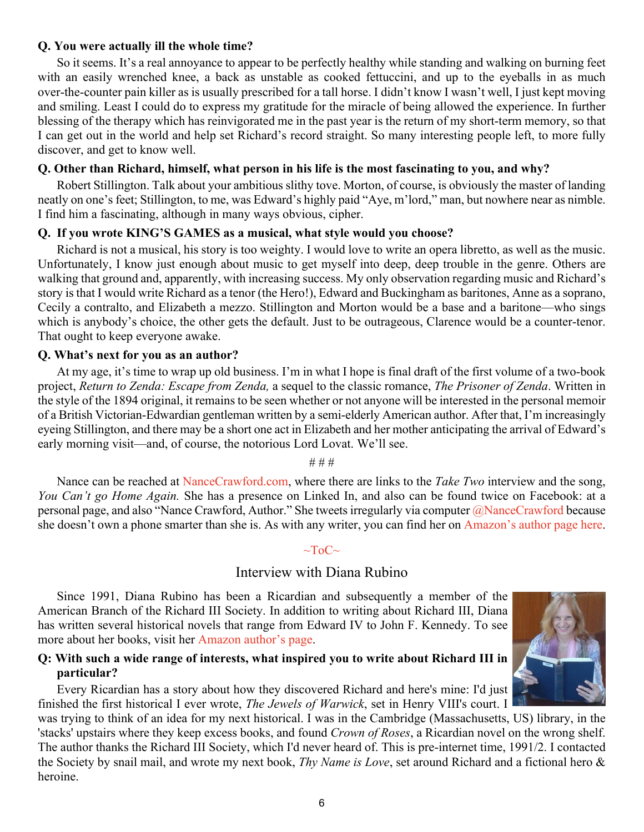#### <span id="page-5-0"></span>**Q. You were actually ill the whole time?**

So it seems. It's a real annoyance to appear to be perfectly healthy while standing and walking on burning feet with an easily wrenched knee, a back as unstable as cooked fettuccini, and up to the eyeballs in as much over-the-counter pain killer as is usually prescribed for a tall horse. I didn't know I wasn't well, I just kept moving and smiling. Least I could do to express my gratitude for the miracle of being allowed the experience. In further blessing of the therapy which has reinvigorated me in the past year is the return of my short-term memory, so that I can get out in the world and help set Richard's record straight. So many interesting people left, to more fully discover, and get to know well.

#### **Q. Other than Richard, himself, what person in his life is the most fascinating to you, and why?**

Robert Stillington. Talk about your ambitious slithy tove. Morton, of course, is obviously the master of landing neatly on one's feet; Stillington, to me, was Edward's highly paid "Aye, m'lord," man, but nowhere near as nimble. I find him a fascinating, although in many ways obvious, cipher.

#### **Q. If you wrote KING'S GAMES as a musical, what style would you choose?**

Richard is not a musical, his story is too weighty. I would love to write an opera libretto, as well as the music. Unfortunately, I know just enough about music to get myself into deep, deep trouble in the genre. Others are walking that ground and, apparently, with increasing success. My only observation regarding music and Richard's story is that I would write Richard as a tenor (the Hero!), Edward and Buckingham as baritones, Anne as a soprano, Cecily a contralto, and Elizabeth a mezzo. Stillington and Morton would be a base and a baritone—who sings which is anybody's choice, the other gets the default. Just to be outrageous, Clarence would be a counter-tenor. That ought to keep everyone awake.

#### **Q. What's next for you as an author?**

At my age, it's time to wrap up old business. I'm in what I hope is final draft of the first volume of a two-book project, *Return to Zenda: Escape from Zenda,* a sequel to the classic romance, *The Prisoner of Zenda*. Written in the style of the 1894 original, it remains to be seen whether or not anyone will be interested in the personal memoir of a British Victorian-Edwardian gentleman written by a semi-elderly American author. After that, I'm increasingly eyeing Stillington, and there may be a short one act in Elizabeth and her mother anticipating the arrival of Edward's early morning visit—and, of course, the notorious Lord Lovat. We'll see.

# # #

Nance can be reached at [NanceCrawford.com](http://nancecrawford.webs.com/), where there are links to the *Take Two* interview and the song, *You Can't go Home Again.* She has a presence on Linked In, and also can be found twice on Facebook: at a personal page, and also "Nance Crawford, Author." She tweets irregularly via computer [@NanceCrawford](https://twitter.com/NanceCrawford) because she doesn't own a phone smarter than she is. As with any writer, you can find her on [Amazon's author page here.](http://www.amazon.com/Nance-Crawford/e/B008BB7QWA/)

#### $\sim$ ToC $\sim$

#### Interview with Diana Rubino

Since 1991, Diana Rubino has been a Ricardian and subsequently a member of the American Branch of the Richard III Society. In addition to writing about Richard III, Diana has written several historical novels that range from Edward IV to John F. Kennedy. To see more about her books, visit her [Amazon author's page](http://www.amazon.com/Diana-Rubino/e/B005C4ZSHO/).

#### **Q: With such a wide range of interests, what inspired you to write about Richard III in particular?**

Every Ricardian has a story about how they discovered Richard and here's mine: I'd just finished the first historical I ever wrote, *The Jewels of Warwick*, set in Henry VIII's court. I

was trying to think of an idea for my next historical. I was in the Cambridge (Massachusetts, US) library, in the 'stacks' upstairs where they keep excess books, and found *Crown of Roses*, a Ricardian novel on the wrong shelf. The author thanks the Richard III Society, which I'd never heard of. This is pre-internet time, 1991/2. I contacted the Society by snail mail, and wrote my next book, *Thy Name is Love*, set around Richard and a fictional hero & heroine.

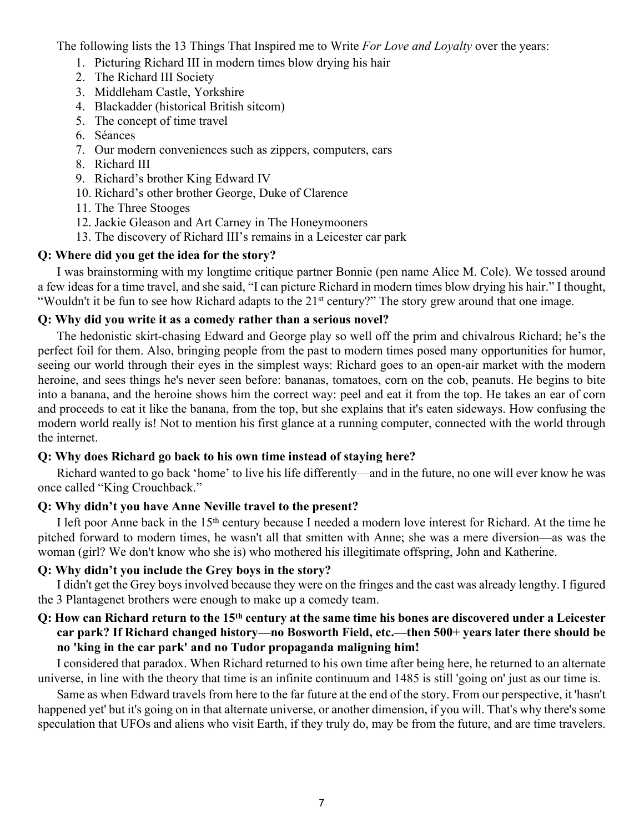The following lists the 13 Things That Inspired me to Write *For Love and Loyalty* over the years:

- 1. Picturing Richard III in modern times blow drying his hair
- 2. The Richard III Society
- 3. Middleham Castle, Yorkshire
- 4. Blackadder (historical British sitcom)
- 5. The concept of time travel
- 6. Séances
- 7. Our modern conveniences such as zippers, computers, cars
- 8. Richard III
- 9. Richard's brother King Edward IV
- 10. Richard's other brother George, Duke of Clarence
- 11. The Three Stooges
- 12. Jackie Gleason and Art Carney in The Honeymooners
- 13. The discovery of Richard III's remains in a Leicester car park

#### **Q: Where did you get the idea for the story?**

I was brainstorming with my longtime critique partner Bonnie (pen name Alice M. Cole). We tossed around a few ideas for a time travel, and she said, "I can picture Richard in modern times blow drying his hair." I thought, "Wouldn't it be fun to see how Richard adapts to the 21<sup>st</sup> century?" The story grew around that one image.

#### **Q: Why did you write it as a comedy rather than a serious novel?**

The hedonistic skirt-chasing Edward and George play so well off the prim and chivalrous Richard; he's the perfect foil for them. Also, bringing people from the past to modern times posed many opportunities for humor, seeing our world through their eyes in the simplest ways: Richard goes to an open-air market with the modern heroine, and sees things he's never seen before: bananas, tomatoes, corn on the cob, peanuts. He begins to bite into a banana, and the heroine shows him the correct way: peel and eat it from the top. He takes an ear of corn and proceeds to eat it like the banana, from the top, but she explains that it's eaten sideways. How confusing the modern world really is! Not to mention his first glance at a running computer, connected with the world through the internet.

#### **Q: Why does Richard go back to his own time instead of staying here?**

Richard wanted to go back 'home' to live his life differently—and in the future, no one will ever know he was once called "King Crouchback."

#### **Q: Why didn't you have Anne Neville travel to the present?**

I left poor Anne back in the 15th century because I needed a modern love interest for Richard. At the time he pitched forward to modern times, he wasn't all that smitten with Anne; she was a mere diversion—as was the woman (girl? We don't know who she is) who mothered his illegitimate offspring, John and Katherine.

#### **Q: Why didn't you include the Grey boys in the story?**

I didn't get the Grey boys involved because they were on the fringes and the cast was already lengthy. I figured the 3 Plantagenet brothers were enough to make up a comedy team.

#### **Q: How can Richard return to the 15th century at the same time his bones are discovered under a Leicester car park? If Richard changed history—no Bosworth Field, etc.—then 500+ years later there should be no 'king in the car park' and no Tudor propaganda maligning him!**

I considered that paradox. When Richard returned to his own time after being here, he returned to an alternate universe, in line with the theory that time is an infinite continuum and 1485 is still 'going on' just as our time is.

Same as when Edward travels from here to the far future at the end of the story. From our perspective, it 'hasn't happened yet' but it's going on in that alternate universe, or another dimension, if you will. That's why there's some speculation that UFOs and aliens who visit Earth, if they truly do, may be from the future, and are time travelers.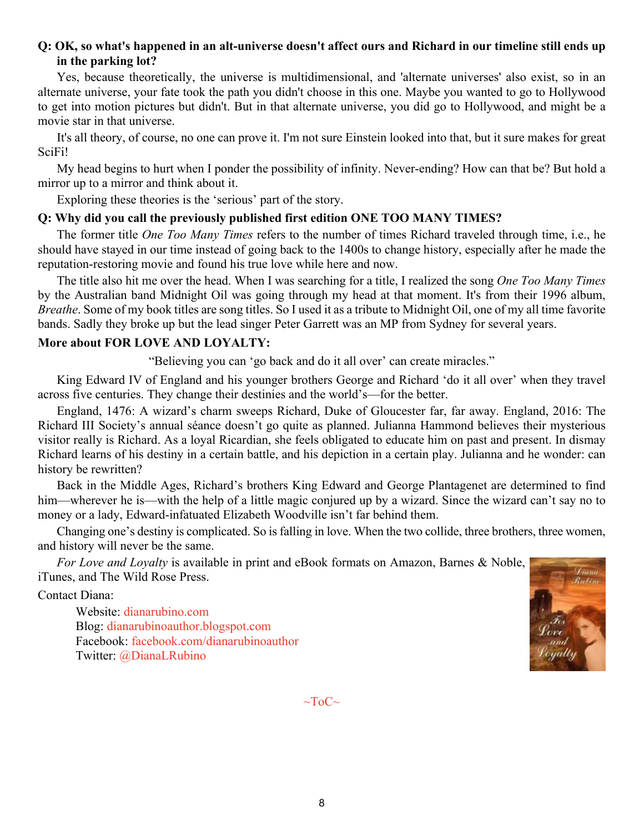#### **Q: OK, so what's happened in an alt-universe doesn't affect ours and Richard in our timeline still ends up in the parking lot?**

Yes, because theoretically, the universe is multidimensional, and 'alternate universes' also exist, so in an alternate universe, your fate took the path you didn't choose in this one. Maybe you wanted to go to Hollywood to get into motion pictures but didn't. But in that alternate universe, you did go to Hollywood, and might be a movie star in that universe.

It's all theory, of course, no one can prove it. I'm not sure Einstein looked into that, but it sure makes for great SciFi!

My head begins to hurt when I ponder the possibility of infinity. Never-ending? How can that be? But hold a mirror up to a mirror and think about it.

Exploring these theories is the 'serious' part of the story.

#### **Q: Why did you call the previously published first edition ONE TOO MANY TIMES?**

The former title *One Too Many Times* refers to the number of times Richard traveled through time, i.e., he should have stayed in our time instead of going back to the 1400s to change history, especially after he made the reputation-restoring movie and found his true love while here and now.

The title also hit me over the head. When I was searching for a title, I realized the song *One Too Many Times* by the Australian band Midnight Oil was going through my head at that moment. It's from their 1996 album, *Breathe*. Some of my book titles are song titles. So I used it as a tribute to Midnight Oil, one of my all time favorite bands. Sadly they broke up but the lead singer Peter Garrett was an MP from Sydney for several years.

#### **More about FOR LOVE AND LOYALTY:**

"Believing you can 'go back and do it all over' can create miracles."

King Edward IV of England and his younger brothers George and Richard 'do it all over' when they travel across five centuries. They change their destinies and the world's—for the better.

England, 1476: A wizard's charm sweeps Richard, Duke of Gloucester far, far away. England, 2016: The Richard III Society's annual séance doesn't go quite as planned. Julianna Hammond believes their mysterious visitor really is Richard. As a loyal Ricardian, she feels obligated to educate him on past and present. In dismay Richard learns of his destiny in a certain battle, and his depiction in a certain play. Julianna and he wonder: can history be rewritten?

Back in the Middle Ages, Richard's brothers King Edward and George Plantagenet are determined to find him—wherever he is—with the help of a little magic conjured up by a wizard. Since the wizard can't say no to money or a lady, Edward-infatuated Elizabeth Woodville isn't far behind them.

Changing one's destiny is complicated. So is falling in love. When the two collide, three brothers, three women, and history will never be the same.

*For Love and Loyalty* is available in print and eBook formats on Amazon, Barnes & Noble, iTunes, and The Wild Rose Press.

Contact Diana:

Website: [dianarubino.com](http://dianarubino.com/) Blog: [dianarubinoauthor.blogspot.com](http://dianarubinoauthor.blogspot.com/) Facebook: [facebook.com/dianarubinoauthor](https://www.facebook.com/dianarubinoauthor) Twitter: [@DianaLRubino](https://twitter.com/DianaLRubino)



 $\sim$ ToC $\sim$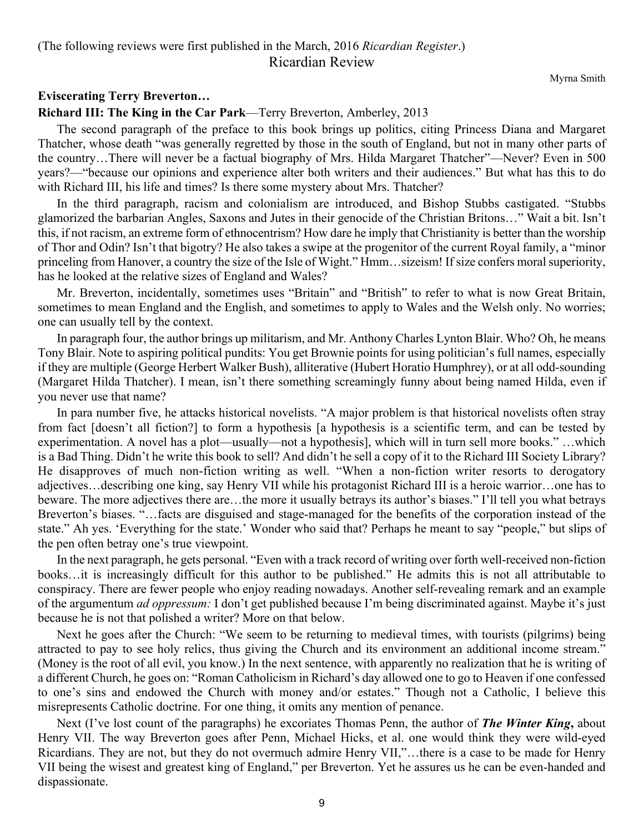Myrna Smith

#### <span id="page-8-0"></span>**Eviscerating Terry Breverton…**

#### **Richard III: The King in the Car Park**—Terry Breverton, Amberley, 2013

The second paragraph of the preface to this book brings up politics, citing Princess Diana and Margaret Thatcher, whose death "was generally regretted by those in the south of England, but not in many other parts of the country…There will never be a factual biography of Mrs. Hilda Margaret Thatcher"—Never? Even in 500 years?—"because our opinions and experience alter both writers and their audiences." But what has this to do with Richard III, his life and times? Is there some mystery about Mrs. Thatcher?

In the third paragraph, racism and colonialism are introduced, and Bishop Stubbs castigated. "Stubbs glamorized the barbarian Angles, Saxons and Jutes in their genocide of the Christian Britons…" Wait a bit. Isn't this, if not racism, an extreme form of ethnocentrism? How dare he imply that Christianity is better than the worship of Thor and Odin? Isn't that bigotry? He also takes a swipe at the progenitor of the current Royal family, a "minor princeling from Hanover, a country the size of the Isle of Wight." Hmm…sizeism! If size confers moral superiority, has he looked at the relative sizes of England and Wales?

Mr. Breverton, incidentally, sometimes uses "Britain" and "British" to refer to what is now Great Britain, sometimes to mean England and the English, and sometimes to apply to Wales and the Welsh only. No worries; one can usually tell by the context.

In paragraph four, the author brings up militarism, and Mr. Anthony Charles Lynton Blair. Who? Oh, he means Tony Blair. Note to aspiring political pundits: You get Brownie points for using politician's full names, especially if they are multiple (George Herbert Walker Bush), alliterative (Hubert Horatio Humphrey), or at all odd-sounding (Margaret Hilda Thatcher). I mean, isn't there something screamingly funny about being named Hilda, even if you never use that name?

In para number five, he attacks historical novelists. "A major problem is that historical novelists often stray from fact [doesn't all fiction?] to form a hypothesis [a hypothesis is a scientific term, and can be tested by experimentation. A novel has a plot—usually—not a hypothesis], which will in turn sell more books." …which is a Bad Thing. Didn't he write this book to sell? And didn't he sell a copy of it to the Richard III Society Library? He disapproves of much non-fiction writing as well. "When a non-fiction writer resorts to derogatory adjectives…describing one king, say Henry VII while his protagonist Richard III is a heroic warrior…one has to beware. The more adjectives there are…the more it usually betrays its author's biases." I'll tell you what betrays Breverton's biases. "…facts are disguised and stage-managed for the benefits of the corporation instead of the state." Ah yes. 'Everything for the state.' Wonder who said that? Perhaps he meant to say "people," but slips of the pen often betray one's true viewpoint.

In the next paragraph, he gets personal. "Even with a track record of writing over forth well-received non-fiction books…it is increasingly difficult for this author to be published." He admits this is not all attributable to conspiracy. There are fewer people who enjoy reading nowadays. Another self-revealing remark and an example of the argumentum *ad oppressum:* I don't get published because I'm being discriminated against. Maybe it's just because he is not that polished a writer? More on that below.

Next he goes after the Church: "We seem to be returning to medieval times, with tourists (pilgrims) being attracted to pay to see holy relics, thus giving the Church and its environment an additional income stream." (Money is the root of all evil, you know.) In the next sentence, with apparently no realization that he is writing of a different Church, he goes on: "Roman Catholicism in Richard's day allowed one to go to Heaven if one confessed to one's sins and endowed the Church with money and/or estates." Though not a Catholic, I believe this misrepresents Catholic doctrine. For one thing, it omits any mention of penance.

Next (I've lost count of the paragraphs) he excoriates Thomas Penn, the author of *The Winter King***,** about Henry VII. The way Breverton goes after Penn, Michael Hicks, et al. one would think they were wild-eyed Ricardians. They are not, but they do not overmuch admire Henry VII,"…there is a case to be made for Henry VII being the wisest and greatest king of England," per Breverton. Yet he assures us he can be even-handed and dispassionate.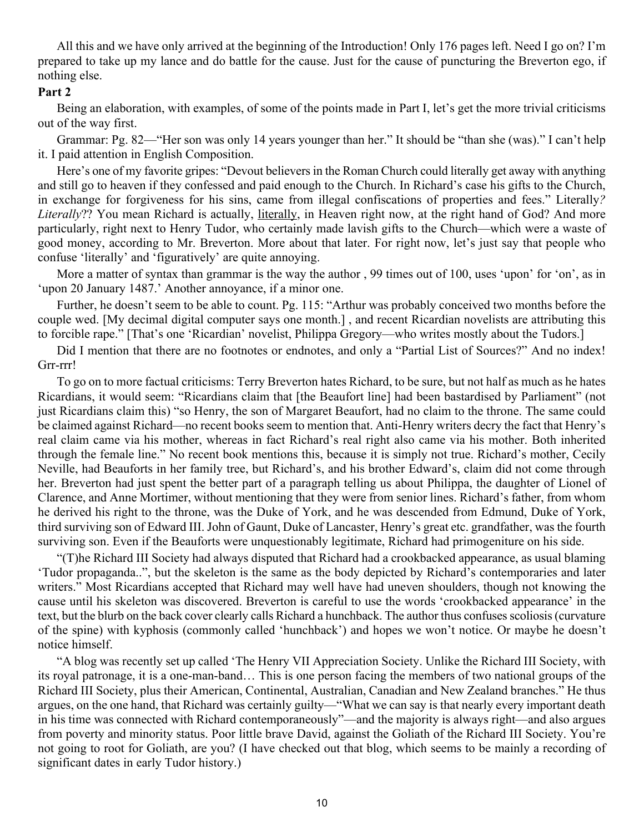All this and we have only arrived at the beginning of the Introduction! Only 176 pages left. Need I go on? I'm prepared to take up my lance and do battle for the cause. Just for the cause of puncturing the Breverton ego, if nothing else.

#### **Part 2**

Being an elaboration, with examples, of some of the points made in Part I, let's get the more trivial criticisms out of the way first.

Grammar: Pg. 82—"Her son was only 14 years younger than her." It should be "than she (was)." I can't help it. I paid attention in English Composition.

Here's one of my favorite gripes: "Devout believers in the Roman Church could literally get away with anything and still go to heaven if they confessed and paid enough to the Church. In Richard's case his gifts to the Church, in exchange for forgiveness for his sins, came from illegal confiscations of properties and fees." Literally*? Literally*?? You mean Richard is actually, literally, in Heaven right now, at the right hand of God? And more particularly, right next to Henry Tudor, who certainly made lavish gifts to the Church—which were a waste of good money, according to Mr. Breverton. More about that later. For right now, let's just say that people who confuse 'literally' and 'figuratively' are quite annoying.

More a matter of syntax than grammar is the way the author, 99 times out of 100, uses 'upon' for 'on', as in 'upon 20 January 1487.' Another annoyance, if a minor one.

Further, he doesn't seem to be able to count. Pg. 115: "Arthur was probably conceived two months before the couple wed. [My decimal digital computer says one month.] , and recent Ricardian novelists are attributing this to forcible rape." [That's one 'Ricardian' novelist, Philippa Gregory—who writes mostly about the Tudors.]

Did I mention that there are no footnotes or endnotes, and only a "Partial List of Sources?" And no index! Grr-rrr!

To go on to more factual criticisms: Terry Breverton hates Richard, to be sure, but not half as much as he hates Ricardians, it would seem: "Ricardians claim that [the Beaufort line] had been bastardised by Parliament" (not just Ricardians claim this) "so Henry, the son of Margaret Beaufort, had no claim to the throne. The same could be claimed against Richard—no recent books seem to mention that. Anti-Henry writers decry the fact that Henry's real claim came via his mother, whereas in fact Richard's real right also came via his mother. Both inherited through the female line." No recent book mentions this, because it is simply not true. Richard's mother, Cecily Neville, had Beauforts in her family tree, but Richard's, and his brother Edward's, claim did not come through her. Breverton had just spent the better part of a paragraph telling us about Philippa, the daughter of Lionel of Clarence, and Anne Mortimer, without mentioning that they were from senior lines. Richard's father, from whom he derived his right to the throne, was the Duke of York, and he was descended from Edmund, Duke of York, third surviving son of Edward III. John of Gaunt, Duke of Lancaster, Henry's great etc. grandfather, was the fourth surviving son. Even if the Beauforts were unquestionably legitimate, Richard had primogeniture on his side.

"(T)he Richard III Society had always disputed that Richard had a crookbacked appearance, as usual blaming 'Tudor propaganda..", but the skeleton is the same as the body depicted by Richard's contemporaries and later writers." Most Ricardians accepted that Richard may well have had uneven shoulders, though not knowing the cause until his skeleton was discovered. Breverton is careful to use the words 'crookbacked appearance' in the text, but the blurb on the back cover clearly calls Richard a hunchback. The author thus confuses scoliosis (curvature of the spine) with kyphosis (commonly called 'hunchback') and hopes we won't notice. Or maybe he doesn't notice himself.

"A blog was recently set up called 'The Henry VII Appreciation Society. Unlike the Richard III Society, with its royal patronage, it is a one-man-band… This is one person facing the members of two national groups of the Richard III Society, plus their American, Continental, Australian, Canadian and New Zealand branches." He thus argues, on the one hand, that Richard was certainly guilty—"What we can say is that nearly every important death in his time was connected with Richard contemporaneously"—and the majority is always right—and also argues from poverty and minority status. Poor little brave David, against the Goliath of the Richard III Society. You're not going to root for Goliath, are you? (I have checked out that blog, which seems to be mainly a recording of significant dates in early Tudor history.)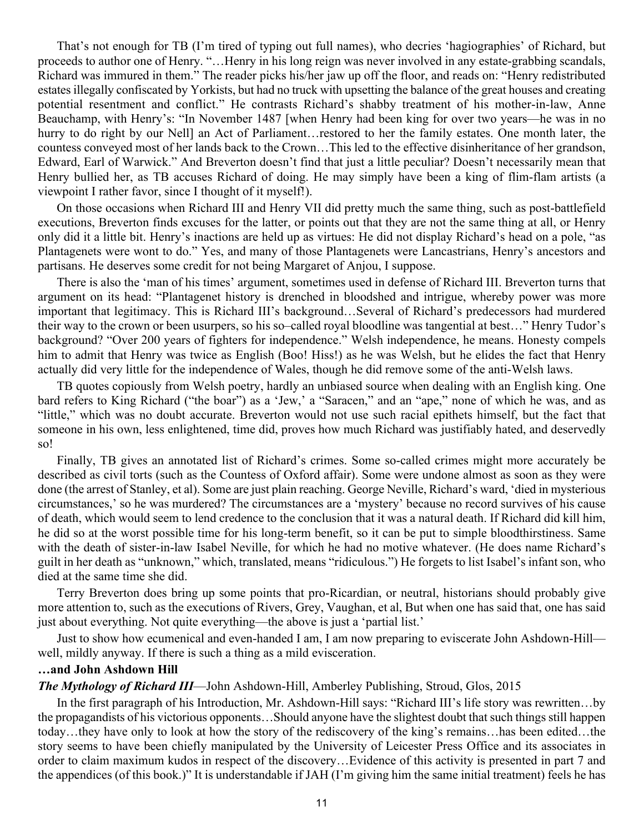That's not enough for TB (I'm tired of typing out full names), who decries 'hagiographies' of Richard, but proceeds to author one of Henry. "…Henry in his long reign was never involved in any estate-grabbing scandals, Richard was immured in them." The reader picks his/her jaw up off the floor, and reads on: "Henry redistributed estates illegally confiscated by Yorkists, but had no truck with upsetting the balance of the great houses and creating potential resentment and conflict." He contrasts Richard's shabby treatment of his mother-in-law, Anne Beauchamp, with Henry's: "In November 1487 [when Henry had been king for over two years—he was in no hurry to do right by our Nell] an Act of Parliament...restored to her the family estates. One month later, the countess conveyed most of her lands back to the Crown…This led to the effective disinheritance of her grandson, Edward, Earl of Warwick." And Breverton doesn't find that just a little peculiar? Doesn't necessarily mean that Henry bullied her, as TB accuses Richard of doing. He may simply have been a king of flim-flam artists (a viewpoint I rather favor, since I thought of it myself!).

On those occasions when Richard III and Henry VII did pretty much the same thing, such as post-battlefield executions, Breverton finds excuses for the latter, or points out that they are not the same thing at all, or Henry only did it a little bit. Henry's inactions are held up as virtues: He did not display Richard's head on a pole, "as Plantagenets were wont to do." Yes, and many of those Plantagenets were Lancastrians, Henry's ancestors and partisans. He deserves some credit for not being Margaret of Anjou, I suppose.

There is also the 'man of his times' argument, sometimes used in defense of Richard III. Breverton turns that argument on its head: "Plantagenet history is drenched in bloodshed and intrigue, whereby power was more important that legitimacy. This is Richard III's background…Several of Richard's predecessors had murdered their way to the crown or been usurpers, so his so–called royal bloodline was tangential at best…" Henry Tudor's background? "Over 200 years of fighters for independence." Welsh independence, he means. Honesty compels him to admit that Henry was twice as English (Boo! Hiss!) as he was Welsh, but he elides the fact that Henry actually did very little for the independence of Wales, though he did remove some of the anti-Welsh laws.

TB quotes copiously from Welsh poetry, hardly an unbiased source when dealing with an English king. One bard refers to King Richard ("the boar") as a 'Jew,' a "Saracen," and an "ape," none of which he was, and as "little," which was no doubt accurate. Breverton would not use such racial epithets himself, but the fact that someone in his own, less enlightened, time did, proves how much Richard was justifiably hated, and deservedly so!

Finally, TB gives an annotated list of Richard's crimes. Some so-called crimes might more accurately be described as civil torts (such as the Countess of Oxford affair). Some were undone almost as soon as they were done (the arrest of Stanley, et al). Some are just plain reaching. George Neville, Richard's ward, 'died in mysterious circumstances,' so he was murdered? The circumstances are a 'mystery' because no record survives of his cause of death, which would seem to lend credence to the conclusion that it was a natural death. If Richard did kill him, he did so at the worst possible time for his long-term benefit, so it can be put to simple bloodthirstiness. Same with the death of sister-in-law Isabel Neville, for which he had no motive whatever. (He does name Richard's guilt in her death as "unknown," which, translated, means "ridiculous.") He forgets to list Isabel's infant son, who died at the same time she did.

Terry Breverton does bring up some points that pro-Ricardian, or neutral, historians should probably give more attention to, such as the executions of Rivers, Grey, Vaughan, et al, But when one has said that, one has said just about everything. Not quite everything—the above is just a 'partial list.'

Just to show how ecumenical and even-handed I am, I am now preparing to eviscerate John Ashdown-Hill well, mildly anyway. If there is such a thing as a mild evisceration.

#### **…and John Ashdown Hill**

*The Mythology of Richard III*—John Ashdown-Hill, Amberley Publishing, Stroud, Glos, 2015

In the first paragraph of his Introduction, Mr. Ashdown-Hill says: "Richard III's life story was rewritten…by the propagandists of his victorious opponents…Should anyone have the slightest doubt that such things still happen today…they have only to look at how the story of the rediscovery of the king's remains…has been edited…the story seems to have been chiefly manipulated by the University of Leicester Press Office and its associates in order to claim maximum kudos in respect of the discovery…Evidence of this activity is presented in part 7 and the appendices (of this book.)" It is understandable if JAH (I'm giving him the same initial treatment) feels he has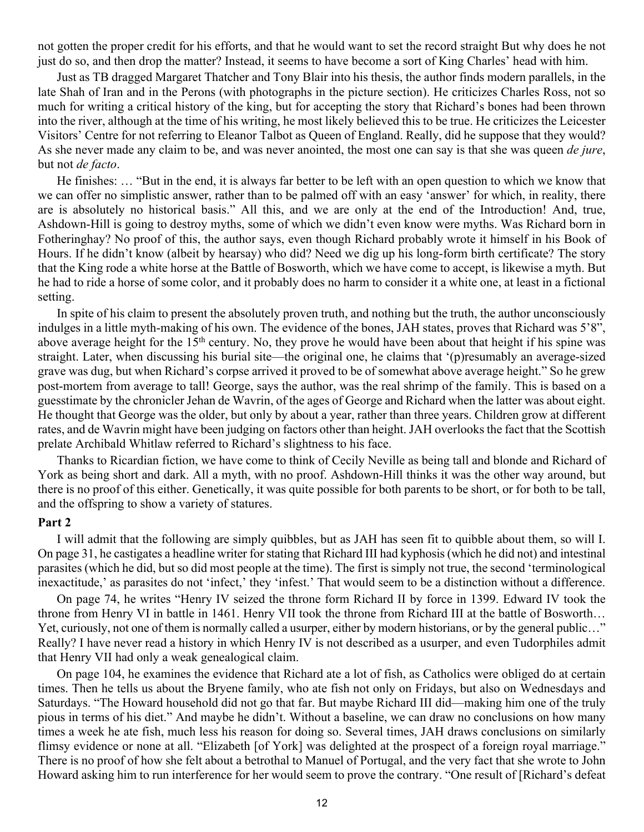not gotten the proper credit for his efforts, and that he would want to set the record straight But why does he not just do so, and then drop the matter? Instead, it seems to have become a sort of King Charles' head with him.

Just as TB dragged Margaret Thatcher and Tony Blair into his thesis, the author finds modern parallels, in the late Shah of Iran and in the Perons (with photographs in the picture section). He criticizes Charles Ross, not so much for writing a critical history of the king, but for accepting the story that Richard's bones had been thrown into the river, although at the time of his writing, he most likely believed this to be true. He criticizes the Leicester Visitors' Centre for not referring to Eleanor Talbot as Queen of England. Really, did he suppose that they would? As she never made any claim to be, and was never anointed, the most one can say is that she was queen *de jure*, but not *de facto*.

He finishes: … "But in the end, it is always far better to be left with an open question to which we know that we can offer no simplistic answer, rather than to be palmed off with an easy 'answer' for which, in reality, there are is absolutely no historical basis." All this, and we are only at the end of the Introduction! And, true, Ashdown-Hill is going to destroy myths, some of which we didn't even know were myths. Was Richard born in Fotheringhay? No proof of this, the author says, even though Richard probably wrote it himself in his Book of Hours. If he didn't know (albeit by hearsay) who did? Need we dig up his long-form birth certificate? The story that the King rode a white horse at the Battle of Bosworth, which we have come to accept, is likewise a myth. But he had to ride a horse of some color, and it probably does no harm to consider it a white one, at least in a fictional setting.

In spite of his claim to present the absolutely proven truth, and nothing but the truth, the author unconsciously indulges in a little myth-making of his own. The evidence of the bones, JAH states, proves that Richard was 5'8", above average height for the 15<sup>th</sup> century. No, they prove he would have been about that height if his spine was straight. Later, when discussing his burial site—the original one, he claims that '(p)resumably an average-sized grave was dug, but when Richard's corpse arrived it proved to be of somewhat above average height." So he grew post-mortem from average to tall! George, says the author, was the real shrimp of the family. This is based on a guesstimate by the chronicler Jehan de Wavrin, of the ages of George and Richard when the latter was about eight. He thought that George was the older, but only by about a year, rather than three years. Children grow at different rates, and de Wavrin might have been judging on factors other than height. JAH overlooks the fact that the Scottish prelate Archibald Whitlaw referred to Richard's slightness to his face.

Thanks to Ricardian fiction, we have come to think of Cecily Neville as being tall and blonde and Richard of York as being short and dark. All a myth, with no proof. Ashdown-Hill thinks it was the other way around, but there is no proof of this either. Genetically, it was quite possible for both parents to be short, or for both to be tall, and the offspring to show a variety of statures.

#### **Part 2**

I will admit that the following are simply quibbles, but as JAH has seen fit to quibble about them, so will I. On page 31, he castigates a headline writer for stating that Richard III had kyphosis (which he did not) and intestinal parasites (which he did, but so did most people at the time). The first is simply not true, the second 'terminological inexactitude,' as parasites do not 'infect,' they 'infest.' That would seem to be a distinction without a difference.

On page 74, he writes "Henry IV seized the throne form Richard II by force in 1399. Edward IV took the throne from Henry VI in battle in 1461. Henry VII took the throne from Richard III at the battle of Bosworth… Yet, curiously, not one of them is normally called a usurper, either by modern historians, or by the general public…" Really? I have never read a history in which Henry IV is not described as a usurper, and even Tudorphiles admit that Henry VII had only a weak genealogical claim.

On page 104, he examines the evidence that Richard ate a lot of fish, as Catholics were obliged do at certain times. Then he tells us about the Bryene family, who ate fish not only on Fridays, but also on Wednesdays and Saturdays. "The Howard household did not go that far. But maybe Richard III did—making him one of the truly pious in terms of his diet." And maybe he didn't. Without a baseline, we can draw no conclusions on how many times a week he ate fish, much less his reason for doing so. Several times, JAH draws conclusions on similarly flimsy evidence or none at all. "Elizabeth [of York] was delighted at the prospect of a foreign royal marriage." There is no proof of how she felt about a betrothal to Manuel of Portugal, and the very fact that she wrote to John Howard asking him to run interference for her would seem to prove the contrary. "One result of [Richard's defeat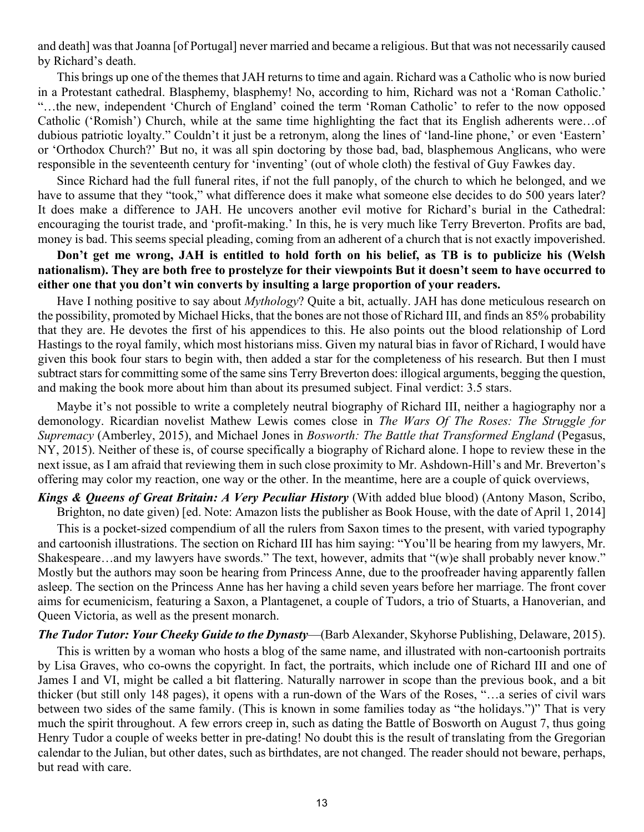and death] was that Joanna [of Portugal] never married and became a religious. But that was not necessarily caused by Richard's death.

This brings up one of the themes that JAH returns to time and again. Richard was a Catholic who is now buried in a Protestant cathedral. Blasphemy, blasphemy! No, according to him, Richard was not a 'Roman Catholic.' "…the new, independent 'Church of England' coined the term 'Roman Catholic' to refer to the now opposed Catholic ('Romish') Church, while at the same time highlighting the fact that its English adherents were…of dubious patriotic loyalty." Couldn't it just be a retronym, along the lines of 'land-line phone,' or even 'Eastern' or 'Orthodox Church?' But no, it was all spin doctoring by those bad, bad, blasphemous Anglicans, who were responsible in the seventeenth century for 'inventing' (out of whole cloth) the festival of Guy Fawkes day.

Since Richard had the full funeral rites, if not the full panoply, of the church to which he belonged, and we have to assume that they "took," what difference does it make what someone else decides to do 500 years later? It does make a difference to JAH. He uncovers another evil motive for Richard's burial in the Cathedral: encouraging the tourist trade, and 'profit-making.' In this, he is very much like Terry Breverton. Profits are bad, money is bad. This seems special pleading, coming from an adherent of a church that is not exactly impoverished.

**Don't get me wrong, JAH is entitled to hold forth on his belief, as TB is to publicize his (Welsh nationalism). They are both free to prostelyze for their viewpoints But it doesn't seem to have occurred to either one that you don't win converts by insulting a large proportion of your readers.**

Have I nothing positive to say about *Mythology*? Quite a bit, actually. JAH has done meticulous research on the possibility, promoted by Michael Hicks, that the bones are not those of Richard III, and finds an 85% probability that they are. He devotes the first of his appendices to this. He also points out the blood relationship of Lord Hastings to the royal family, which most historians miss. Given my natural bias in favor of Richard, I would have given this book four stars to begin with, then added a star for the completeness of his research. But then I must subtract stars for committing some of the same sins Terry Breverton does: illogical arguments, begging the question, and making the book more about him than about its presumed subject. Final verdict: 3.5 stars.

Maybe it's not possible to write a completely neutral biography of Richard III, neither a hagiography nor a demonology. Ricardian novelist Mathew Lewis comes close in *The Wars Of The Roses: The Struggle for Supremacy* (Amberley, 2015), and Michael Jones in *Bosworth: The Battle that Transformed England* (Pegasus, NY, 2015). Neither of these is, of course specifically a biography of Richard alone. I hope to review these in the next issue, as I am afraid that reviewing them in such close proximity to Mr. Ashdown-Hill's and Mr. Breverton's offering may color my reaction, one way or the other. In the meantime, here are a couple of quick overviews,

*Kings & Queens of Great Britain: A Very Peculiar History* (With added blue blood) (Antony Mason, Scribo, Brighton, no date given) [ed. Note: Amazon lists the publisher as Book House, with the date of April 1, 2014]

This is a pocket-sized compendium of all the rulers from Saxon times to the present, with varied typography and cartoonish illustrations. The section on Richard III has him saying: "You'll be hearing from my lawyers, Mr. Shakespeare…and my lawyers have swords." The text, however, admits that "(w)e shall probably never know." Mostly but the authors may soon be hearing from Princess Anne, due to the proofreader having apparently fallen asleep. The section on the Princess Anne has her having a child seven years before her marriage. The front cover aims for ecumenicism, featuring a Saxon, a Plantagenet, a couple of Tudors, a trio of Stuarts, a Hanoverian, and Queen Victoria, as well as the present monarch.

*The Tudor Tutor: Your Cheeky Guide to the Dynasty*—(Barb Alexander, Skyhorse Publishing, Delaware, 2015).

This is written by a woman who hosts a blog of the same name, and illustrated with non-cartoonish portraits by Lisa Graves, who co-owns the copyright. In fact, the portraits, which include one of Richard III and one of James I and VI, might be called a bit flattering. Naturally narrower in scope than the previous book, and a bit thicker (but still only 148 pages), it opens with a run-down of the Wars of the Roses, "…a series of civil wars between two sides of the same family. (This is known in some families today as "the holidays.")" That is very much the spirit throughout. A few errors creep in, such as dating the Battle of Bosworth on August 7, thus going Henry Tudor a couple of weeks better in pre-dating! No doubt this is the result of translating from the Gregorian calendar to the Julian, but other dates, such as birthdates, are not changed. The reader should not beware, perhaps, but read with care.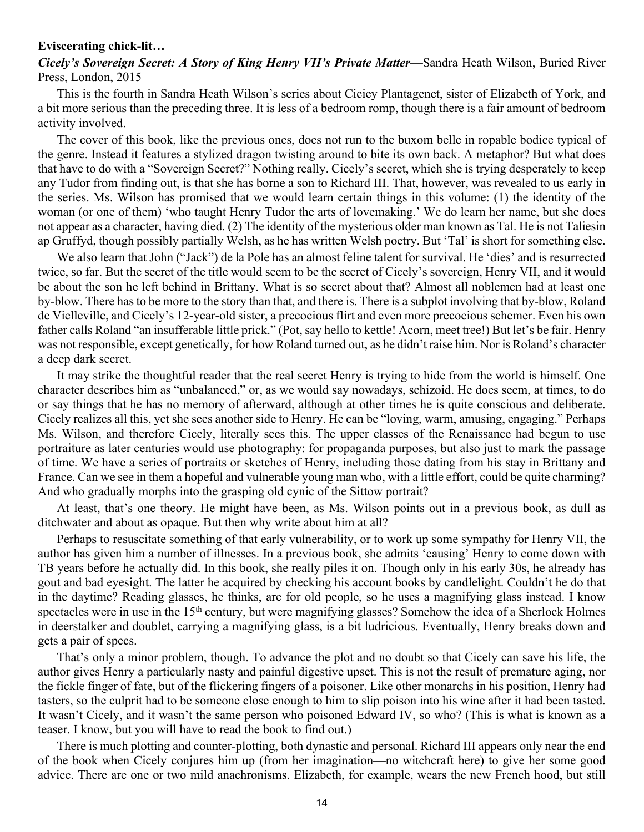#### **Eviscerating chick-lit…**

*Cicely's Sovereign Secret: A Story of King Henry VII's Private Matter*—Sandra Heath Wilson, Buried River Press, London, 2015

This is the fourth in Sandra Heath Wilson's series about Ciciey Plantagenet, sister of Elizabeth of York, and a bit more serious than the preceding three. It is less of a bedroom romp, though there is a fair amount of bedroom activity involved.

The cover of this book, like the previous ones, does not run to the buxom belle in ropable bodice typical of the genre. Instead it features a stylized dragon twisting around to bite its own back. A metaphor? But what does that have to do with a "Sovereign Secret?" Nothing really. Cicely's secret, which she is trying desperately to keep any Tudor from finding out, is that she has borne a son to Richard III. That, however, was revealed to us early in the series. Ms. Wilson has promised that we would learn certain things in this volume: (1) the identity of the woman (or one of them) 'who taught Henry Tudor the arts of lovemaking.' We do learn her name, but she does not appear as a character, having died. (2) The identity of the mysterious older man known as Tal. He is not Taliesin ap Gruffyd, though possibly partially Welsh, as he has written Welsh poetry. But 'Tal' is short for something else.

We also learn that John ("Jack") de la Pole has an almost feline talent for survival. He 'dies' and is resurrected twice, so far. But the secret of the title would seem to be the secret of Cicely's sovereign, Henry VII, and it would be about the son he left behind in Brittany. What is so secret about that? Almost all noblemen had at least one by-blow. There has to be more to the story than that, and there is. There is a subplot involving that by-blow, Roland de Vielleville, and Cicely's 12-year-old sister, a precocious flirt and even more precocious schemer. Even his own father calls Roland "an insufferable little prick." (Pot, say hello to kettle! Acorn, meet tree!) But let's be fair. Henry was not responsible, except genetically, for how Roland turned out, as he didn't raise him. Nor is Roland's character a deep dark secret.

It may strike the thoughtful reader that the real secret Henry is trying to hide from the world is himself. One character describes him as "unbalanced," or, as we would say nowadays, schizoid. He does seem, at times, to do or say things that he has no memory of afterward, although at other times he is quite conscious and deliberate. Cicely realizes all this, yet she sees another side to Henry. He can be "loving, warm, amusing, engaging." Perhaps Ms. Wilson, and therefore Cicely, literally sees this. The upper classes of the Renaissance had begun to use portraiture as later centuries would use photography: for propaganda purposes, but also just to mark the passage of time. We have a series of portraits or sketches of Henry, including those dating from his stay in Brittany and France. Can we see in them a hopeful and vulnerable young man who, with a little effort, could be quite charming? And who gradually morphs into the grasping old cynic of the Sittow portrait?

At least, that's one theory. He might have been, as Ms. Wilson points out in a previous book, as dull as ditchwater and about as opaque. But then why write about him at all?

Perhaps to resuscitate something of that early vulnerability, or to work up some sympathy for Henry VII, the author has given him a number of illnesses. In a previous book, she admits 'causing' Henry to come down with TB years before he actually did. In this book, she really piles it on. Though only in his early 30s, he already has gout and bad eyesight. The latter he acquired by checking his account books by candlelight. Couldn't he do that in the daytime? Reading glasses, he thinks, are for old people, so he uses a magnifying glass instead. I know spectacles were in use in the 15<sup>th</sup> century, but were magnifying glasses? Somehow the idea of a Sherlock Holmes in deerstalker and doublet, carrying a magnifying glass, is a bit ludricious. Eventually, Henry breaks down and gets a pair of specs.

That's only a minor problem, though. To advance the plot and no doubt so that Cicely can save his life, the author gives Henry a particularly nasty and painful digestive upset. This is not the result of premature aging, nor the fickle finger of fate, but of the flickering fingers of a poisoner. Like other monarchs in his position, Henry had tasters, so the culprit had to be someone close enough to him to slip poison into his wine after it had been tasted. It wasn't Cicely, and it wasn't the same person who poisoned Edward IV, so who? (This is what is known as a teaser. I know, but you will have to read the book to find out.)

There is much plotting and counter-plotting, both dynastic and personal. Richard III appears only near the end of the book when Cicely conjures him up (from her imagination—no witchcraft here) to give her some good advice. There are one or two mild anachronisms. Elizabeth, for example, wears the new French hood, but still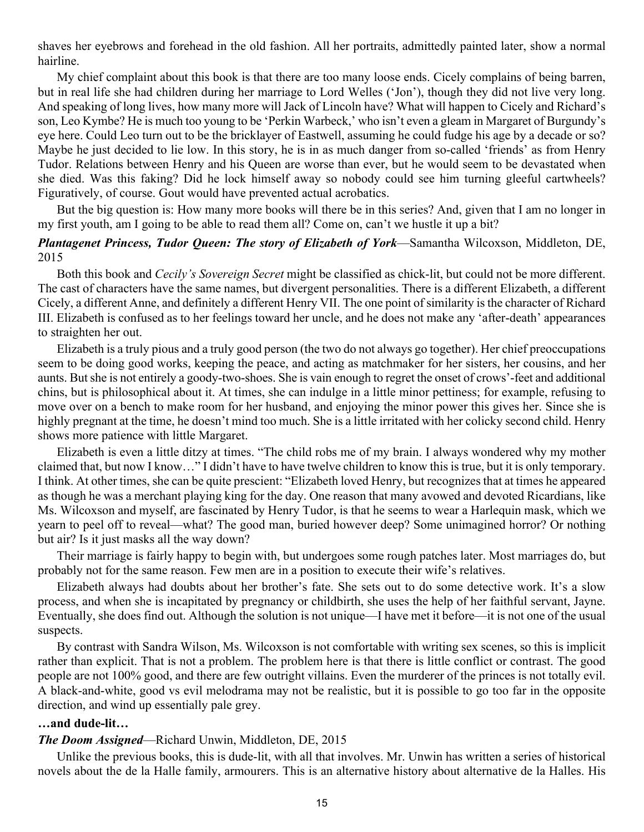shaves her eyebrows and forehead in the old fashion. All her portraits, admittedly painted later, show a normal hairline.

My chief complaint about this book is that there are too many loose ends. Cicely complains of being barren, but in real life she had children during her marriage to Lord Welles ('Jon'), though they did not live very long. And speaking of long lives, how many more will Jack of Lincoln have? What will happen to Cicely and Richard's son, Leo Kymbe? He is much too young to be 'Perkin Warbeck,' who isn't even a gleam in Margaret of Burgundy's eye here. Could Leo turn out to be the bricklayer of Eastwell, assuming he could fudge his age by a decade or so? Maybe he just decided to lie low. In this story, he is in as much danger from so-called 'friends' as from Henry Tudor. Relations between Henry and his Queen are worse than ever, but he would seem to be devastated when she died. Was this faking? Did he lock himself away so nobody could see him turning gleeful cartwheels? Figuratively, of course. Gout would have prevented actual acrobatics.

But the big question is: How many more books will there be in this series? And, given that I am no longer in my first youth, am I going to be able to read them all? Come on, can't we hustle it up a bit?

#### *Plantagenet Princess, Tudor Queen: The story of Elizabeth of York*—Samantha Wilcoxson, Middleton, DE, 2015

Both this book and *Cecily's Sovereign Secret* might be classified as chick-lit, but could not be more different. The cast of characters have the same names, but divergent personalities. There is a different Elizabeth, a different Cicely, a different Anne, and definitely a different Henry VII. The one point of similarity is the character of Richard III. Elizabeth is confused as to her feelings toward her uncle, and he does not make any 'after-death' appearances to straighten her out.

Elizabeth is a truly pious and a truly good person (the two do not always go together). Her chief preoccupations seem to be doing good works, keeping the peace, and acting as matchmaker for her sisters, her cousins, and her aunts. But she is not entirely a goody-two-shoes. She is vain enough to regret the onset of crows'-feet and additional chins, but is philosophical about it. At times, she can indulge in a little minor pettiness; for example, refusing to move over on a bench to make room for her husband, and enjoying the minor power this gives her. Since she is highly pregnant at the time, he doesn't mind too much. She is a little irritated with her colicky second child. Henry shows more patience with little Margaret.

Elizabeth is even a little ditzy at times. "The child robs me of my brain. I always wondered why my mother claimed that, but now I know…" I didn't have to have twelve children to know this is true, but it is only temporary. I think. At other times, she can be quite prescient: "Elizabeth loved Henry, but recognizes that at times he appeared as though he was a merchant playing king for the day. One reason that many avowed and devoted Ricardians, like Ms. Wilcoxson and myself, are fascinated by Henry Tudor, is that he seems to wear a Harlequin mask, which we yearn to peel off to reveal—what? The good man, buried however deep? Some unimagined horror? Or nothing but air? Is it just masks all the way down?

Their marriage is fairly happy to begin with, but undergoes some rough patches later. Most marriages do, but probably not for the same reason. Few men are in a position to execute their wife's relatives.

Elizabeth always had doubts about her brother's fate. She sets out to do some detective work. It's a slow process, and when she is incapitated by pregnancy or childbirth, she uses the help of her faithful servant, Jayne. Eventually, she does find out. Although the solution is not unique—I have met it before—it is not one of the usual suspects.

By contrast with Sandra Wilson, Ms. Wilcoxson is not comfortable with writing sex scenes, so this is implicit rather than explicit. That is not a problem. The problem here is that there is little conflict or contrast. The good people are not 100% good, and there are few outright villains. Even the murderer of the princes is not totally evil. A black-and-white, good vs evil melodrama may not be realistic, but it is possible to go too far in the opposite direction, and wind up essentially pale grey.

#### **…and dude-lit…**

#### *The Doom Assigned*—Richard Unwin, Middleton, DE, 2015

Unlike the previous books, this is dude-lit, with all that involves. Mr. Unwin has written a series of historical novels about the de la Halle family, armourers. This is an alternative history about alternative de la Halles. His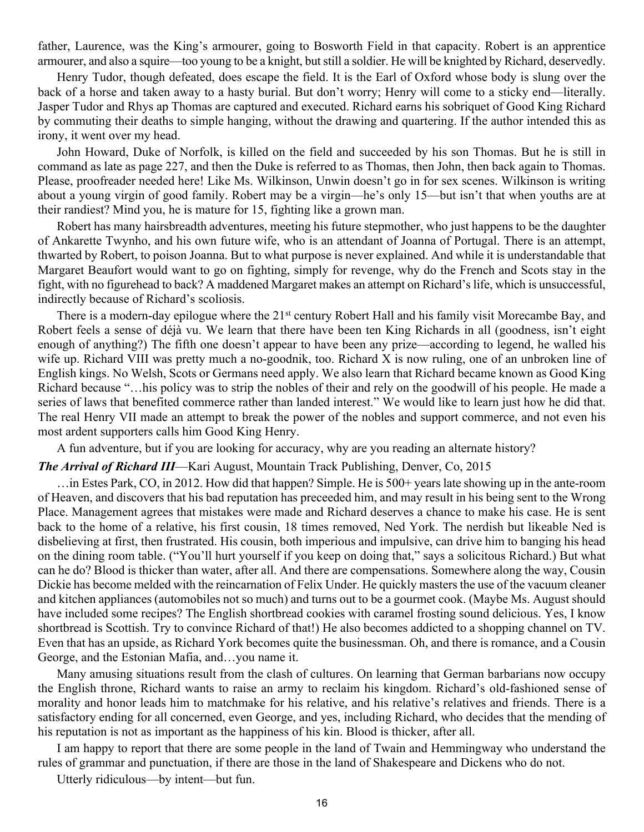father, Laurence, was the King's armourer, going to Bosworth Field in that capacity. Robert is an apprentice armourer, and also a squire—too young to be a knight, but still a soldier. He will be knighted by Richard, deservedly.

Henry Tudor, though defeated, does escape the field. It is the Earl of Oxford whose body is slung over the back of a horse and taken away to a hasty burial. But don't worry; Henry will come to a sticky end—literally. Jasper Tudor and Rhys ap Thomas are captured and executed. Richard earns his sobriquet of Good King Richard by commuting their deaths to simple hanging, without the drawing and quartering. If the author intended this as irony, it went over my head.

John Howard, Duke of Norfolk, is killed on the field and succeeded by his son Thomas. But he is still in command as late as page 227, and then the Duke is referred to as Thomas, then John, then back again to Thomas. Please, proofreader needed here! Like Ms. Wilkinson, Unwin doesn't go in for sex scenes. Wilkinson is writing about a young virgin of good family. Robert may be a virgin—he's only 15—but isn't that when youths are at their randiest? Mind you, he is mature for 15, fighting like a grown man.

Robert has many hairsbreadth adventures, meeting his future stepmother, who just happens to be the daughter of Ankarette Twynho, and his own future wife, who is an attendant of Joanna of Portugal. There is an attempt, thwarted by Robert, to poison Joanna. But to what purpose is never explained. And while it is understandable that Margaret Beaufort would want to go on fighting, simply for revenge, why do the French and Scots stay in the fight, with no figurehead to back? A maddened Margaret makes an attempt on Richard's life, which is unsuccessful, indirectly because of Richard's scoliosis.

There is a modern-day epilogue where the 21<sup>st</sup> century Robert Hall and his family visit Morecambe Bay, and Robert feels a sense of déjà vu. We learn that there have been ten King Richards in all (goodness, isn't eight enough of anything?) The fifth one doesn't appear to have been any prize—according to legend, he walled his wife up. Richard VIII was pretty much a no-goodnik, too. Richard X is now ruling, one of an unbroken line of English kings. No Welsh, Scots or Germans need apply. We also learn that Richard became known as Good King Richard because "…his policy was to strip the nobles of their and rely on the goodwill of his people. He made a series of laws that benefited commerce rather than landed interest." We would like to learn just how he did that. The real Henry VII made an attempt to break the power of the nobles and support commerce, and not even his most ardent supporters calls him Good King Henry.

A fun adventure, but if you are looking for accuracy, why are you reading an alternate history?

#### *The Arrival of Richard III*—Kari August, Mountain Track Publishing, Denver, Co, 2015

…in Estes Park, CO, in 2012. How did that happen? Simple. He is 500+ years late showing up in the ante-room of Heaven, and discovers that his bad reputation has preceeded him, and may result in his being sent to the Wrong Place. Management agrees that mistakes were made and Richard deserves a chance to make his case. He is sent back to the home of a relative, his first cousin, 18 times removed, Ned York. The nerdish but likeable Ned is disbelieving at first, then frustrated. His cousin, both imperious and impulsive, can drive him to banging his head on the dining room table. ("You'll hurt yourself if you keep on doing that," says a solicitous Richard.) But what can he do? Blood is thicker than water, after all. And there are compensations. Somewhere along the way, Cousin Dickie has become melded with the reincarnation of Felix Under. He quickly masters the use of the vacuum cleaner and kitchen appliances (automobiles not so much) and turns out to be a gourmet cook. (Maybe Ms. August should have included some recipes? The English shortbread cookies with caramel frosting sound delicious. Yes, I know shortbread is Scottish. Try to convince Richard of that!) He also becomes addicted to a shopping channel on TV. Even that has an upside, as Richard York becomes quite the businessman. Oh, and there is romance, and a Cousin George, and the Estonian Mafia, and…you name it.

Many amusing situations result from the clash of cultures. On learning that German barbarians now occupy the English throne, Richard wants to raise an army to reclaim his kingdom. Richard's old-fashioned sense of morality and honor leads him to matchmake for his relative, and his relative's relatives and friends. There is a satisfactory ending for all concerned, even George, and yes, including Richard, who decides that the mending of his reputation is not as important as the happiness of his kin. Blood is thicker, after all.

I am happy to report that there are some people in the land of Twain and Hemmingway who understand the rules of grammar and punctuation, if there are those in the land of Shakespeare and Dickens who do not.

Utterly ridiculous—by intent—but fun.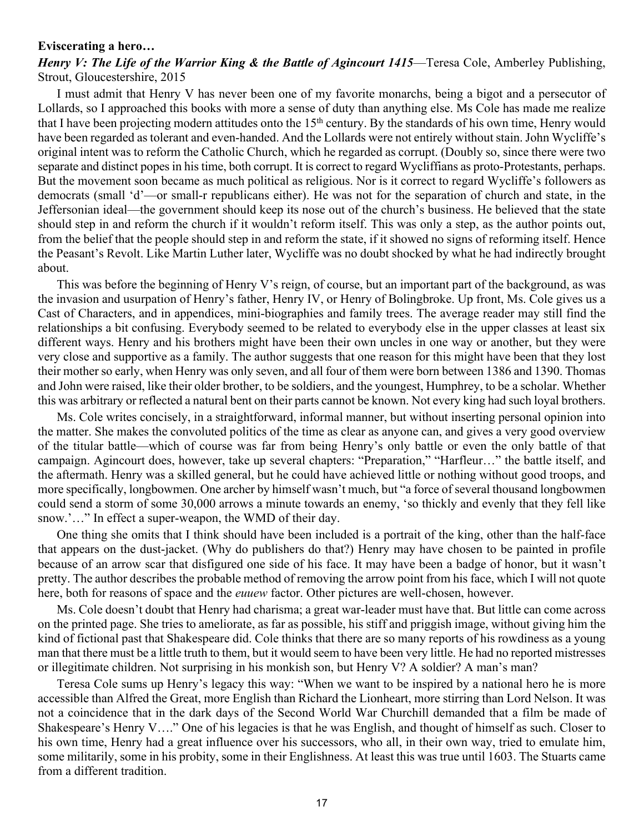#### **Eviscerating a hero…**

#### *Henry V: The Life of the Warrior King & the Battle of Agincourt 1415*—Teresa Cole, Amberley Publishing, Strout, Gloucestershire, 2015

I must admit that Henry V has never been one of my favorite monarchs, being a bigot and a persecutor of Lollards, so I approached this books with more a sense of duty than anything else. Ms Cole has made me realize that I have been projecting modern attitudes onto the 15<sup>th</sup> century. By the standards of his own time, Henry would have been regarded as tolerant and even-handed. And the Lollards were not entirely without stain. John Wycliffe's original intent was to reform the Catholic Church, which he regarded as corrupt. (Doubly so, since there were two separate and distinct popes in his time, both corrupt. It is correct to regard Wycliffians as proto-Protestants, perhaps. But the movement soon became as much political as religious. Nor is it correct to regard Wycliffe's followers as democrats (small 'd'—or small-r republicans either). He was not for the separation of church and state, in the Jeffersonian ideal—the government should keep its nose out of the church's business. He believed that the state should step in and reform the church if it wouldn't reform itself. This was only a step, as the author points out, from the belief that the people should step in and reform the state, if it showed no signs of reforming itself. Hence the Peasant's Revolt. Like Martin Luther later, Wycliffe was no doubt shocked by what he had indirectly brought about.

This was before the beginning of Henry V's reign, of course, but an important part of the background, as was the invasion and usurpation of Henry's father, Henry IV, or Henry of Bolingbroke. Up front, Ms. Cole gives us a Cast of Characters, and in appendices, mini-biographies and family trees. The average reader may still find the relationships a bit confusing. Everybody seemed to be related to everybody else in the upper classes at least six different ways. Henry and his brothers might have been their own uncles in one way or another, but they were very close and supportive as a family. The author suggests that one reason for this might have been that they lost their mother so early, when Henry was only seven, and all four of them were born between 1386 and 1390. Thomas and John were raised, like their older brother, to be soldiers, and the youngest, Humphrey, to be a scholar. Whether this was arbitrary or reflected a natural bent on their parts cannot be known. Not every king had such loyal brothers.

Ms. Cole writes concisely, in a straightforward, informal manner, but without inserting personal opinion into the matter. She makes the convoluted politics of the time as clear as anyone can, and gives a very good overview of the titular battle—which of course was far from being Henry's only battle or even the only battle of that campaign. Agincourt does, however, take up several chapters: "Preparation," "Harfleur…" the battle itself, and the aftermath. Henry was a skilled general, but he could have achieved little or nothing without good troops, and more specifically, longbowmen. One archer by himself wasn't much, but "a force of several thousand longbowmen could send a storm of some 30,000 arrows a minute towards an enemy, 'so thickly and evenly that they fell like snow.'…" In effect a super-weapon, the WMD of their day.

One thing she omits that I think should have been included is a portrait of the king, other than the half-face that appears on the dust-jacket. (Why do publishers do that?) Henry may have chosen to be painted in profile because of an arrow scar that disfigured one side of his face. It may have been a badge of honor, but it wasn't pretty. The author describes the probable method of removing the arrow point from his face, which I will not quote here, both for reasons of space and the *euuew* factor. Other pictures are well-chosen, however.

Ms. Cole doesn't doubt that Henry had charisma; a great war-leader must have that. But little can come across on the printed page. She tries to ameliorate, as far as possible, his stiff and priggish image, without giving him the kind of fictional past that Shakespeare did. Cole thinks that there are so many reports of his rowdiness as a young man that there must be a little truth to them, but it would seem to have been very little. He had no reported mistresses or illegitimate children. Not surprising in his monkish son, but Henry V? A soldier? A man's man?

Teresa Cole sums up Henry's legacy this way: "When we want to be inspired by a national hero he is more accessible than Alfred the Great, more English than Richard the Lionheart, more stirring than Lord Nelson. It was not a coincidence that in the dark days of the Second World War Churchill demanded that a film be made of Shakespeare's Henry V…." One of his legacies is that he was English, and thought of himself as such. Closer to his own time, Henry had a great influence over his successors, who all, in their own way, tried to emulate him, some militarily, some in his probity, some in their Englishness. At least this was true until 1603. The Stuarts came from a different tradition.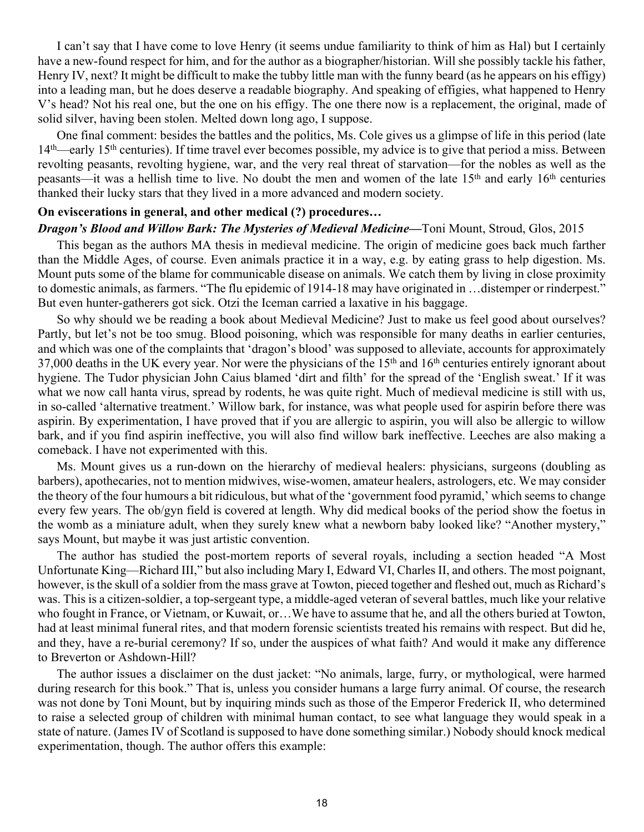I can't say that I have come to love Henry (it seems undue familiarity to think of him as Hal) but I certainly have a new-found respect for him, and for the author as a biographer/historian. Will she possibly tackle his father, Henry IV, next? It might be difficult to make the tubby little man with the funny beard (as he appears on his effigy) into a leading man, but he does deserve a readable biography. And speaking of effigies, what happened to Henry V's head? Not his real one, but the one on his effigy. The one there now is a replacement, the original, made of solid silver, having been stolen. Melted down long ago, I suppose.

One final comment: besides the battles and the politics, Ms. Cole gives us a glimpse of life in this period (late 14<sup>th</sup>—early 15<sup>th</sup> centuries). If time travel ever becomes possible, my advice is to give that period a miss. Between revolting peasants, revolting hygiene, war, and the very real threat of starvation—for the nobles as well as the peasants—it was a hellish time to live. No doubt the men and women of the late 15<sup>th</sup> and early 16<sup>th</sup> centuries thanked their lucky stars that they lived in a more advanced and modern society.

#### **On eviscerations in general, and other medical (?) procedures…**

#### *Dragon's Blood and Willow Bark: The Mysteries of Medieval Medicine***—**Toni Mount, Stroud, Glos, 2015

This began as the authors MA thesis in medieval medicine. The origin of medicine goes back much farther than the Middle Ages, of course. Even animals practice it in a way, e.g. by eating grass to help digestion. Ms. Mount puts some of the blame for communicable disease on animals. We catch them by living in close proximity to domestic animals, as farmers. "The flu epidemic of 1914-18 may have originated in …distemper or rinderpest." But even hunter-gatherers got sick. Otzi the Iceman carried a laxative in his baggage.

So why should we be reading a book about Medieval Medicine? Just to make us feel good about ourselves? Partly, but let's not be too smug. Blood poisoning, which was responsible for many deaths in earlier centuries, and which was one of the complaints that 'dragon's blood' was supposed to alleviate, accounts for approximately 37,000 deaths in the UK every year. Nor were the physicians of the 15<sup>th</sup> and 16<sup>th</sup> centuries entirely ignorant about hygiene. The Tudor physician John Caius blamed 'dirt and filth' for the spread of the 'English sweat.' If it was what we now call hanta virus, spread by rodents, he was quite right. Much of medieval medicine is still with us, in so-called 'alternative treatment.' Willow bark, for instance, was what people used for aspirin before there was aspirin. By experimentation, I have proved that if you are allergic to aspirin, you will also be allergic to willow bark, and if you find aspirin ineffective, you will also find willow bark ineffective. Leeches are also making a comeback. I have not experimented with this.

Ms. Mount gives us a run-down on the hierarchy of medieval healers: physicians, surgeons (doubling as barbers), apothecaries, not to mention midwives, wise-women, amateur healers, astrologers, etc. We may consider the theory of the four humours a bit ridiculous, but what of the 'government food pyramid,' which seems to change every few years. The ob/gyn field is covered at length. Why did medical books of the period show the foetus in the womb as a miniature adult, when they surely knew what a newborn baby looked like? "Another mystery," says Mount, but maybe it was just artistic convention.

The author has studied the post-mortem reports of several royals, including a section headed "A Most Unfortunate King—Richard III," but also including Mary I, Edward VI, Charles II, and others. The most poignant, however, is the skull of a soldier from the mass grave at Towton, pieced together and fleshed out, much as Richard's was. This is a citizen-soldier, a top-sergeant type, a middle-aged veteran of several battles, much like your relative who fought in France, or Vietnam, or Kuwait, or…We have to assume that he, and all the others buried at Towton, had at least minimal funeral rites, and that modern forensic scientists treated his remains with respect. But did he, and they, have a re-burial ceremony? If so, under the auspices of what faith? And would it make any difference to Breverton or Ashdown-Hill?

The author issues a disclaimer on the dust jacket: "No animals, large, furry, or mythological, were harmed during research for this book." That is, unless you consider humans a large furry animal. Of course, the research was not done by Toni Mount, but by inquiring minds such as those of the Emperor Frederick II, who determined to raise a selected group of children with minimal human contact, to see what language they would speak in a state of nature. (James IV of Scotland is supposed to have done something similar.) Nobody should knock medical experimentation, though. The author offers this example: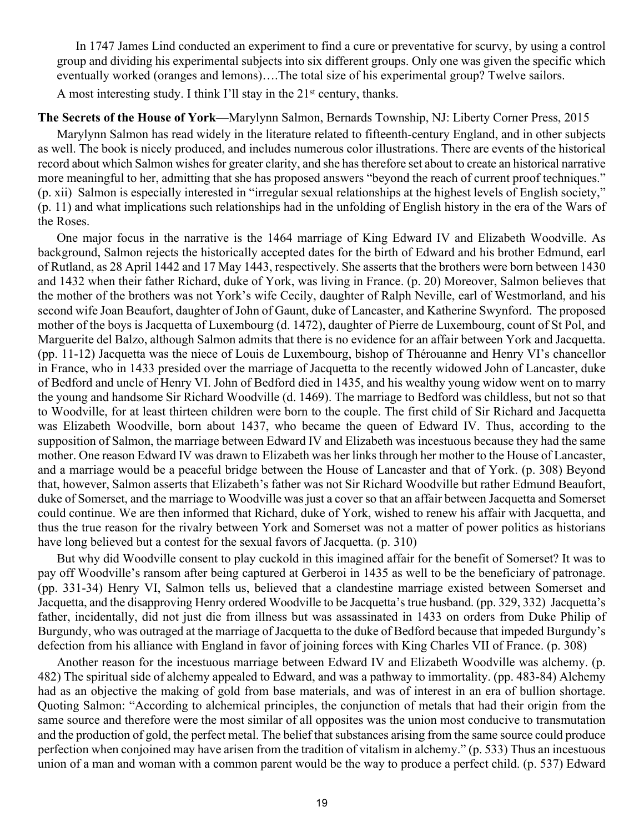In 1747 James Lind conducted an experiment to find a cure or preventative for scurvy, by using a control group and dividing his experimental subjects into six different groups. Only one was given the specific which eventually worked (oranges and lemons)….The total size of his experimental group? Twelve sailors.

A most interesting study. I think I'll stay in the  $21<sup>st</sup>$  century, thanks.

#### **The Secrets of the House of York**—Marylynn Salmon, Bernards Township, NJ: Liberty Corner Press, 2015

Marylynn Salmon has read widely in the literature related to fifteenth-century England, and in other subjects as well. The book is nicely produced, and includes numerous color illustrations. There are events of the historical record about which Salmon wishes for greater clarity, and she has therefore set about to create an historical narrative more meaningful to her, admitting that she has proposed answers "beyond the reach of current proof techniques." (p. xii) Salmon is especially interested in "irregular sexual relationships at the highest levels of English society," (p. 11) and what implications such relationships had in the unfolding of English history in the era of the Wars of the Roses.

One major focus in the narrative is the 1464 marriage of King Edward IV and Elizabeth Woodville. As background, Salmon rejects the historically accepted dates for the birth of Edward and his brother Edmund, earl of Rutland, as 28 April 1442 and 17 May 1443, respectively. She asserts that the brothers were born between 1430 and 1432 when their father Richard, duke of York, was living in France. (p. 20) Moreover, Salmon believes that the mother of the brothers was not York's wife Cecily, daughter of Ralph Neville, earl of Westmorland, and his second wife Joan Beaufort, daughter of John of Gaunt, duke of Lancaster, and Katherine Swynford. The proposed mother of the boys is Jacquetta of Luxembourg (d. 1472), daughter of Pierre de Luxembourg, count of St Pol, and Marguerite del Balzo, although Salmon admits that there is no evidence for an affair between York and Jacquetta. (pp. 11-12) Jacquetta was the niece of Louis de Luxembourg, bishop of Thérouanne and Henry VI's chancellor in France, who in 1433 presided over the marriage of Jacquetta to the recently widowed John of Lancaster, duke of Bedford and uncle of Henry VI. John of Bedford died in 1435, and his wealthy young widow went on to marry the young and handsome Sir Richard Woodville (d. 1469). The marriage to Bedford was childless, but not so that to Woodville, for at least thirteen children were born to the couple. The first child of Sir Richard and Jacquetta was Elizabeth Woodville, born about 1437, who became the queen of Edward IV. Thus, according to the supposition of Salmon, the marriage between Edward IV and Elizabeth was incestuous because they had the same mother. One reason Edward IV was drawn to Elizabeth was her links through her mother to the House of Lancaster, and a marriage would be a peaceful bridge between the House of Lancaster and that of York. (p. 308) Beyond that, however, Salmon asserts that Elizabeth's father was not Sir Richard Woodville but rather Edmund Beaufort, duke of Somerset, and the marriage to Woodville was just a cover so that an affair between Jacquetta and Somerset could continue. We are then informed that Richard, duke of York, wished to renew his affair with Jacquetta, and thus the true reason for the rivalry between York and Somerset was not a matter of power politics as historians have long believed but a contest for the sexual favors of Jacquetta. (p. 310)

But why did Woodville consent to play cuckold in this imagined affair for the benefit of Somerset? It was to pay off Woodville's ransom after being captured at Gerberoi in 1435 as well to be the beneficiary of patronage. (pp. 331-34) Henry VI, Salmon tells us, believed that a clandestine marriage existed between Somerset and Jacquetta, and the disapproving Henry ordered Woodville to be Jacquetta's true husband. (pp. 329, 332) Jacquetta's father, incidentally, did not just die from illness but was assassinated in 1433 on orders from Duke Philip of Burgundy, who was outraged at the marriage of Jacquetta to the duke of Bedford because that impeded Burgundy's defection from his alliance with England in favor of joining forces with King Charles VII of France. (p. 308)

Another reason for the incestuous marriage between Edward IV and Elizabeth Woodville was alchemy. (p. 482) The spiritual side of alchemy appealed to Edward, and was a pathway to immortality. (pp. 483-84) Alchemy had as an objective the making of gold from base materials, and was of interest in an era of bullion shortage. Quoting Salmon: "According to alchemical principles, the conjunction of metals that had their origin from the same source and therefore were the most similar of all opposites was the union most conducive to transmutation and the production of gold, the perfect metal. The belief that substances arising from the same source could produce perfection when conjoined may have arisen from the tradition of vitalism in alchemy." (p. 533) Thus an incestuous union of a man and woman with a common parent would be the way to produce a perfect child. (p. 537) Edward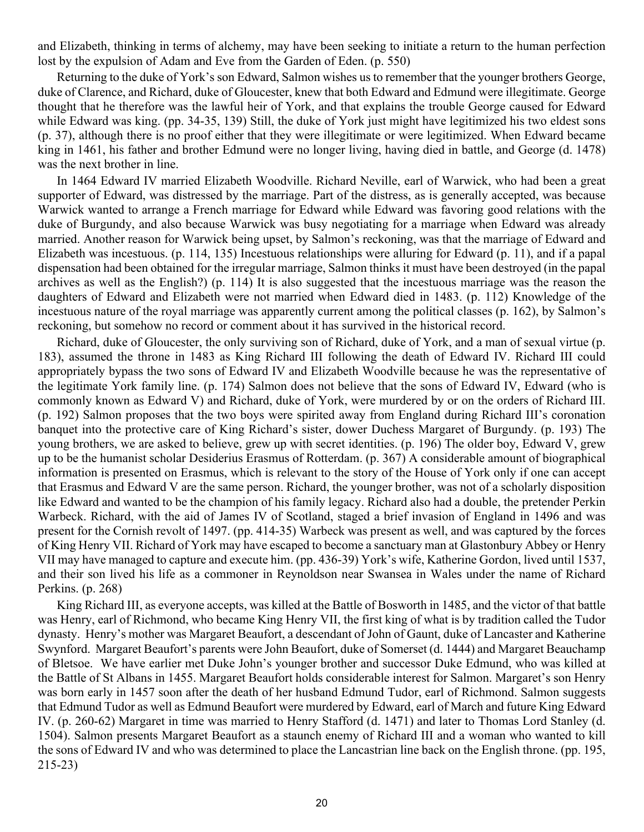and Elizabeth, thinking in terms of alchemy, may have been seeking to initiate a return to the human perfection lost by the expulsion of Adam and Eve from the Garden of Eden. (p. 550)

Returning to the duke of York's son Edward, Salmon wishes us to remember that the younger brothers George, duke of Clarence, and Richard, duke of Gloucester, knew that both Edward and Edmund were illegitimate. George thought that he therefore was the lawful heir of York, and that explains the trouble George caused for Edward while Edward was king. (pp. 34-35, 139) Still, the duke of York just might have legitimized his two eldest sons (p. 37), although there is no proof either that they were illegitimate or were legitimized. When Edward became king in 1461, his father and brother Edmund were no longer living, having died in battle, and George (d. 1478) was the next brother in line.

In 1464 Edward IV married Elizabeth Woodville. Richard Neville, earl of Warwick, who had been a great supporter of Edward, was distressed by the marriage. Part of the distress, as is generally accepted, was because Warwick wanted to arrange a French marriage for Edward while Edward was favoring good relations with the duke of Burgundy, and also because Warwick was busy negotiating for a marriage when Edward was already married. Another reason for Warwick being upset, by Salmon's reckoning, was that the marriage of Edward and Elizabeth was incestuous. (p. 114, 135) Incestuous relationships were alluring for Edward (p. 11), and if a papal dispensation had been obtained for the irregular marriage, Salmon thinks it must have been destroyed (in the papal archives as well as the English?) (p. 114) It is also suggested that the incestuous marriage was the reason the daughters of Edward and Elizabeth were not married when Edward died in 1483. (p. 112) Knowledge of the incestuous nature of the royal marriage was apparently current among the political classes (p. 162), by Salmon's reckoning, but somehow no record or comment about it has survived in the historical record.

Richard, duke of Gloucester, the only surviving son of Richard, duke of York, and a man of sexual virtue (p. 183), assumed the throne in 1483 as King Richard III following the death of Edward IV. Richard III could appropriately bypass the two sons of Edward IV and Elizabeth Woodville because he was the representative of the legitimate York family line. (p. 174) Salmon does not believe that the sons of Edward IV, Edward (who is commonly known as Edward V) and Richard, duke of York, were murdered by or on the orders of Richard III. (p. 192) Salmon proposes that the two boys were spirited away from England during Richard III's coronation banquet into the protective care of King Richard's sister, dower Duchess Margaret of Burgundy. (p. 193) The young brothers, we are asked to believe, grew up with secret identities. (p. 196) The older boy, Edward V, grew up to be the humanist scholar Desiderius Erasmus of Rotterdam. (p. 367) A considerable amount of biographical information is presented on Erasmus, which is relevant to the story of the House of York only if one can accept that Erasmus and Edward V are the same person. Richard, the younger brother, was not of a scholarly disposition like Edward and wanted to be the champion of his family legacy. Richard also had a double, the pretender Perkin Warbeck. Richard, with the aid of James IV of Scotland, staged a brief invasion of England in 1496 and was present for the Cornish revolt of 1497. (pp. 414-35) Warbeck was present as well, and was captured by the forces of King Henry VII. Richard of York may have escaped to become a sanctuary man at Glastonbury Abbey or Henry VII may have managed to capture and execute him. (pp. 436-39) York's wife, Katherine Gordon, lived until 1537, and their son lived his life as a commoner in Reynoldson near Swansea in Wales under the name of Richard Perkins. (p. 268)

King Richard III, as everyone accepts, was killed at the Battle of Bosworth in 1485, and the victor of that battle was Henry, earl of Richmond, who became King Henry VII, the first king of what is by tradition called the Tudor dynasty. Henry's mother was Margaret Beaufort, a descendant of John of Gaunt, duke of Lancaster and Katherine Swynford. Margaret Beaufort's parents were John Beaufort, duke of Somerset (d. 1444) and Margaret Beauchamp of Bletsoe. We have earlier met Duke John's younger brother and successor Duke Edmund, who was killed at the Battle of St Albans in 1455. Margaret Beaufort holds considerable interest for Salmon. Margaret's son Henry was born early in 1457 soon after the death of her husband Edmund Tudor, earl of Richmond. Salmon suggests that Edmund Tudor as well as Edmund Beaufort were murdered by Edward, earl of March and future King Edward IV. (p. 260-62) Margaret in time was married to Henry Stafford (d. 1471) and later to Thomas Lord Stanley (d. 1504). Salmon presents Margaret Beaufort as a staunch enemy of Richard III and a woman who wanted to kill the sons of Edward IV and who was determined to place the Lancastrian line back on the English throne. (pp. 195, 215-23)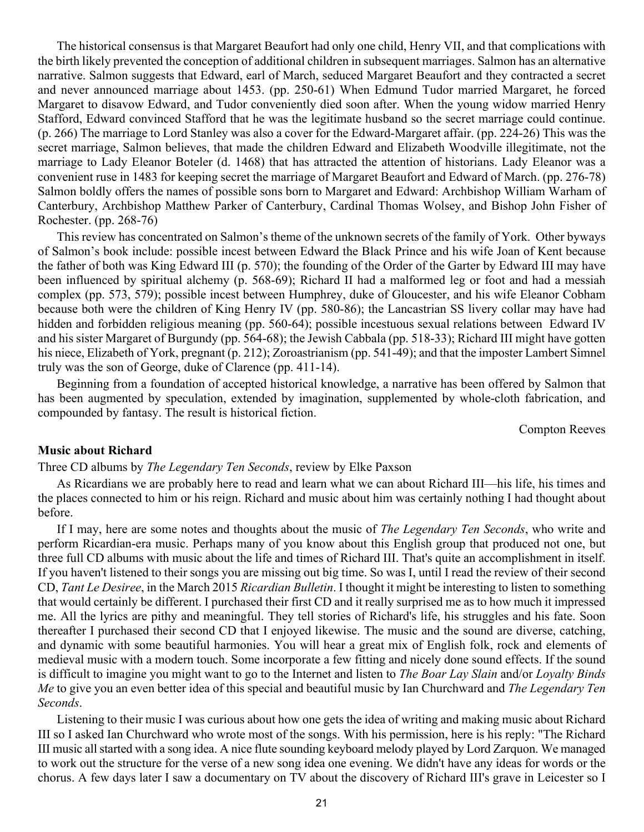The historical consensus is that Margaret Beaufort had only one child, Henry VII, and that complications with the birth likely prevented the conception of additional children in subsequent marriages. Salmon has an alternative narrative. Salmon suggests that Edward, earl of March, seduced Margaret Beaufort and they contracted a secret and never announced marriage about 1453. (pp. 250-61) When Edmund Tudor married Margaret, he forced Margaret to disavow Edward, and Tudor conveniently died soon after. When the young widow married Henry Stafford, Edward convinced Stafford that he was the legitimate husband so the secret marriage could continue. (p. 266) The marriage to Lord Stanley was also a cover for the Edward-Margaret affair. (pp. 224-26) This was the secret marriage, Salmon believes, that made the children Edward and Elizabeth Woodville illegitimate, not the marriage to Lady Eleanor Boteler (d. 1468) that has attracted the attention of historians. Lady Eleanor was a convenient ruse in 1483 for keeping secret the marriage of Margaret Beaufort and Edward of March. (pp. 276-78) Salmon boldly offers the names of possible sons born to Margaret and Edward: Archbishop William Warham of Canterbury, Archbishop Matthew Parker of Canterbury, Cardinal Thomas Wolsey, and Bishop John Fisher of Rochester. (pp. 268-76)

This review has concentrated on Salmon's theme of the unknown secrets of the family of York. Other byways of Salmon's book include: possible incest between Edward the Black Prince and his wife Joan of Kent because the father of both was King Edward III (p. 570); the founding of the Order of the Garter by Edward III may have been influenced by spiritual alchemy (p. 568-69); Richard II had a malformed leg or foot and had a messiah complex (pp. 573, 579); possible incest between Humphrey, duke of Gloucester, and his wife Eleanor Cobham because both were the children of King Henry IV (pp. 580-86); the Lancastrian SS livery collar may have had hidden and forbidden religious meaning (pp. 560-64); possible incestuous sexual relations between Edward IV and his sister Margaret of Burgundy (pp. 564-68); the Jewish Cabbala (pp. 518-33); Richard III might have gotten his niece, Elizabeth of York, pregnant (p. 212); Zoroastrianism (pp. 541-49); and that the imposter Lambert Simnel truly was the son of George, duke of Clarence (pp. 411-14).

Beginning from a foundation of accepted historical knowledge, a narrative has been offered by Salmon that has been augmented by speculation, extended by imagination, supplemented by whole-cloth fabrication, and compounded by fantasy. The result is historical fiction.

Compton Reeves

#### **Music about Richard**

#### Three CD albums by *The Legendary Ten Seconds*, review by Elke Paxson

As Ricardians we are probably here to read and learn what we can about Richard III—his life, his times and the places connected to him or his reign. Richard and music about him was certainly nothing I had thought about before.

If I may, here are some notes and thoughts about the music of *The Legendary Ten Seconds*, who write and perform Ricardian-era music. Perhaps many of you know about this English group that produced not one, but three full CD albums with music about the life and times of Richard III. That's quite an accomplishment in itself. If you haven't listened to their songs you are missing out big time. So was I, until I read the review of their second CD, *Tant Le Desiree*, in the March 2015 *Ricardian Bulletin*. I thought it might be interesting to listen to something that would certainly be different. I purchased their first CD and it really surprised me as to how much it impressed me. All the lyrics are pithy and meaningful. They tell stories of Richard's life, his struggles and his fate. Soon thereafter I purchased their second CD that I enjoyed likewise. The music and the sound are diverse, catching, and dynamic with some beautiful harmonies. You will hear a great mix of English folk, rock and elements of medieval music with a modern touch. Some incorporate a few fitting and nicely done sound effects. If the sound is difficult to imagine you might want to go to the Internet and listen to *The Boar Lay Slain* and/or *Loyalty Binds Me* to give you an even better idea of this special and beautiful music by Ian Churchward and *The Legendary Ten Seconds*.

Listening to their music I was curious about how one gets the idea of writing and making music about Richard III so I asked Ian Churchward who wrote most of the songs. With his permission, here is his reply: "The Richard III music all started with a song idea. A nice flute sounding keyboard melody played by Lord Zarquon. We managed to work out the structure for the verse of a new song idea one evening. We didn't have any ideas for words or the chorus. A few days later I saw a documentary on TV about the discovery of Richard III's grave in Leicester so I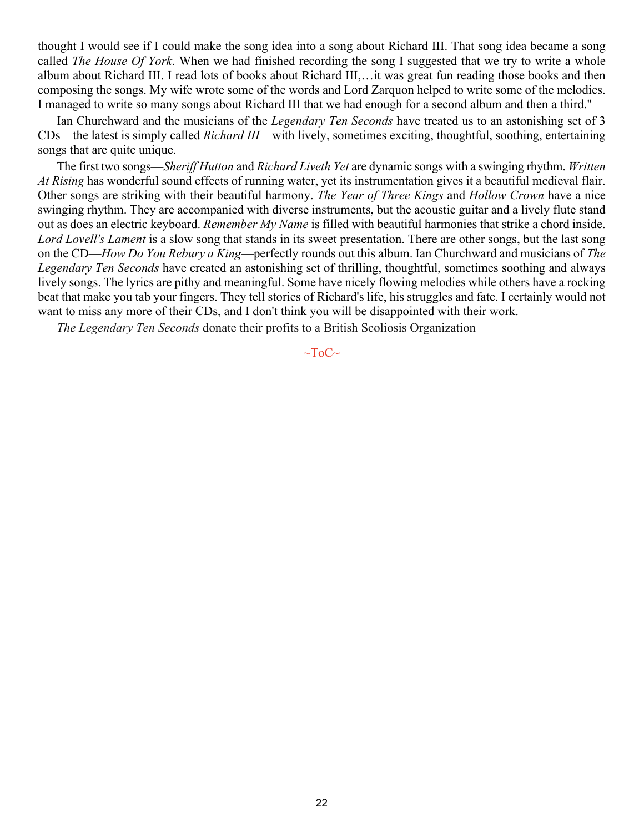thought I would see if I could make the song idea into a song about Richard III. That song idea became a song called *The House Of York*. When we had finished recording the song I suggested that we try to write a whole album about Richard III. I read lots of books about Richard III,…it was great fun reading those books and then composing the songs. My wife wrote some of the words and Lord Zarquon helped to write some of the melodies. I managed to write so many songs about Richard III that we had enough for a second album and then a third."

Ian Churchward and the musicians of the *Legendary Ten Seconds* have treated us to an astonishing set of 3 CDs—the latest is simply called *Richard III*—with lively, sometimes exciting, thoughtful, soothing, entertaining songs that are quite unique.

The first two songs—*Sheriff Hutton* and *Richard Liveth Yet* are dynamic songs with a swinging rhythm. *Written At Rising* has wonderful sound effects of running water, yet its instrumentation gives it a beautiful medieval flair. Other songs are striking with their beautiful harmony. *The Year of Three Kings* and *Hollow Crown* have a nice swinging rhythm. They are accompanied with diverse instruments, but the acoustic guitar and a lively flute stand out as does an electric keyboard. *Remember My Name* is filled with beautiful harmonies that strike a chord inside. *Lord Lovell's Lament* is a slow song that stands in its sweet presentation. There are other songs, but the last song on the CD—*How Do You Rebury a King*—perfectly rounds out this album. Ian Churchward and musicians of *The Legendary Ten Seconds* have created an astonishing set of thrilling, thoughtful, sometimes soothing and always lively songs. The lyrics are pithy and meaningful. Some have nicely flowing melodies while others have a rocking beat that make you tab your fingers. They tell stories of Richard's life, his struggles and fate. I certainly would not want to miss any more of their CDs, and I don't think you will be disappointed with their work.

*The Legendary Ten Seconds* donate their profits to a British Scoliosis Organization

 $~\sim$ ToC $\sim$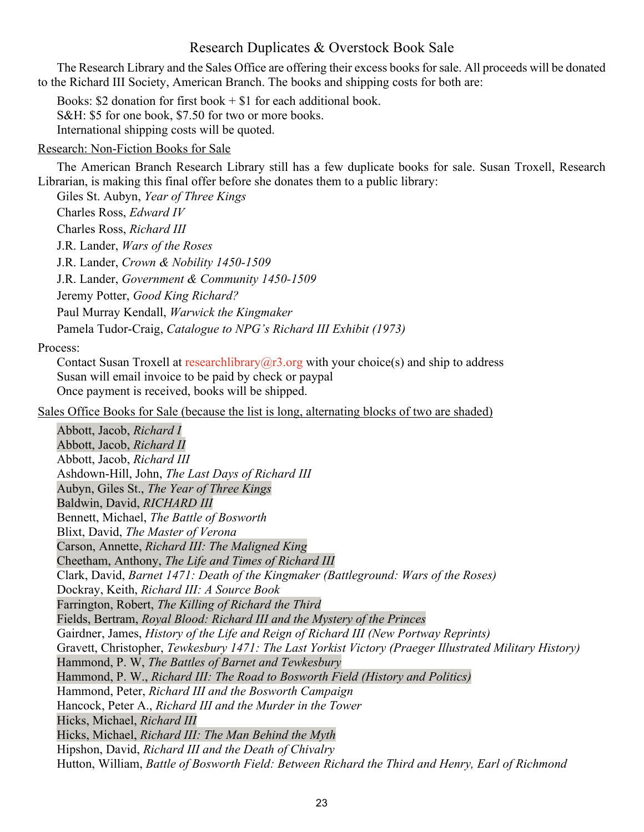#### Research Duplicates & Overstock Book Sale

<span id="page-22-0"></span>The Research Library and the Sales Office are offering their excess books for sale. All proceeds will be donated to the Richard III Society, American Branch. The books and shipping costs for both are:

Books: \$2 donation for first book  $+$  \$1 for each additional book. S&H: \$5 for one book, \$7.50 for two or more books. International shipping costs will be quoted.

#### Research: Non-Fiction Books for Sale

The American Branch Research Library still has a few duplicate books for sale. Susan Troxell, Research Librarian, is making this final offer before she donates them to a public library:

Giles St. Aubyn, *Year of Three Kings* Charles Ross, *Edward IV* Charles Ross, *Richard III* J.R. Lander, *Wars of the Roses* J.R. Lander, *Crown & Nobility 1450-1509* J.R. Lander, *Government & Community 1450-1509* Jeremy Potter, *Good King Richard?* Paul Murray Kendall, *Warwick the Kingmaker* Pamela Tudor-Craig, *Catalogue to NPG's Richard III Exhibit (1973)*

#### Process:

Contact Susan Troxell at researchlibrary $\omega$ r3.org with your choice(s) and ship to address Susan will email invoice to be paid by check or paypal Once payment is received, books will be shipped.

Sales Office Books for Sale (because the list is long, alternating blocks of two are shaded)

Abbott, Jacob, *Richard I* Abbott, Jacob, *Richard II* Abbott, Jacob, *Richard III* Ashdown-Hill, John, *The Last Days of Richard III* Aubyn, Giles St., *The Year of Three Kings* Baldwin, David, *RICHARD III* Bennett, Michael, *The Battle of Bosworth* Blixt, David, *The Master of Verona* Carson, Annette, *Richard III: The Maligned King* Cheetham, Anthony, *The Life and Times of Richard III* Clark, David, *Barnet 1471: Death of the Kingmaker (Battleground: Wars of the Roses)* Dockray, Keith, *Richard III: A Source Book* Farrington, Robert, *The Killing of Richard the Third* Fields, Bertram, *Royal Blood: Richard III and the Mystery of the Princes* Gairdner, James, *History of the Life and Reign of Richard III (New Portway Reprints)* Gravett, Christopher, *Tewkesbury 1471: The Last Yorkist Victory (Praeger Illustrated Military History)* Hammond, P. W, *The Battles of Barnet and Tewkesbury* Hammond, P. W., *Richard III: The Road to Bosworth Field (History and Politics)* Hammond, Peter, *Richard III and the Bosworth Campaign* Hancock, Peter A., *Richard III and the Murder in the Tower* Hicks, Michael, *Richard III* Hicks, Michael, *Richard III: The Man Behind the Myth* Hipshon, David, *Richard III and the Death of Chivalry* Hutton, William, *Battle of Bosworth Field: Between Richard the Third and Henry, Earl of Richmond*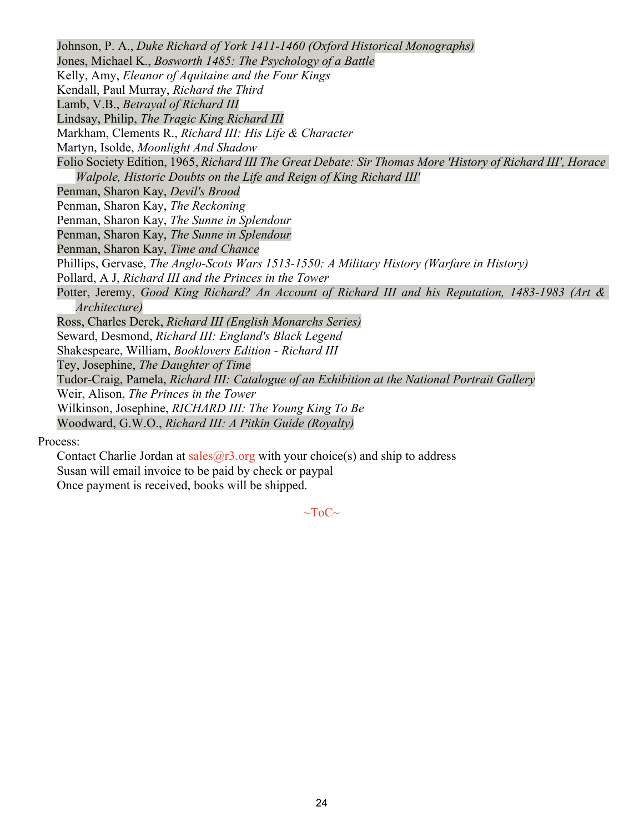Johnson, P. A., *Duke Richard of York 1411-1460 (Oxford Historical Monographs)* Jones, Michael K., *Bosworth 1485: The Psychology of a Battle* Kelly, Amy, *Eleanor of Aquitaine and the Four Kings* Kendall, Paul Murray, *Richard the Third* Lamb, V.B., *Betrayal of Richard III* Lindsay, Philip, *The Tragic King Richard III* Markham, Clements R., *Richard III: His Life & Character* Martyn, Isolde, *Moonlight And Shadow* Folio Society Edition, 1965, *Richard III The Great Debate: Sir Thomas More 'History of Richard III', Horace Walpole, Historic Doubts on the Life and Reign of King Richard III'* Penman, Sharon Kay, *Devil's Brood* Penman, Sharon Kay, *The Reckoning* Penman, Sharon Kay, *The Sunne in Splendour* Penman, Sharon Kay, *The Sunne in Splendour* Penman, Sharon Kay, *Time and Chance* Phillips, Gervase, *The Anglo-Scots Wars 1513-1550: A Military History (Warfare in History)* Pollard, A J, *Richard III and the Princes in the Tower* Potter, Jeremy, *Good King Richard? An Account of Richard III and his Reputation, 1483-1983 (Art & Architecture)* Ross, Charles Derek, *Richard III (English Monarchs Series)* Seward, Desmond, *Richard III: England's Black Legend* Shakespeare, William, *Booklovers Edition - Richard III* Tey, Josephine, *The Daughter of Time* Tudor-Craig, Pamela, *Richard III: Catalogue of an Exhibition at the National Portrait Gallery* Weir, Alison, *The Princes in the Tower* Wilkinson, Josephine, *RICHARD III: The Young King To Be* Woodward, G.W.O., *Richard III: A Pitkin Guide (Royalty)* Process:

Contact Charlie Jordan at sales  $\widehat{a}$  and your choice (s) and ship to address Susan will email invoice to be paid by check or paypal Once payment is received, books will be shipped.

 $\sim$ ToC $\sim$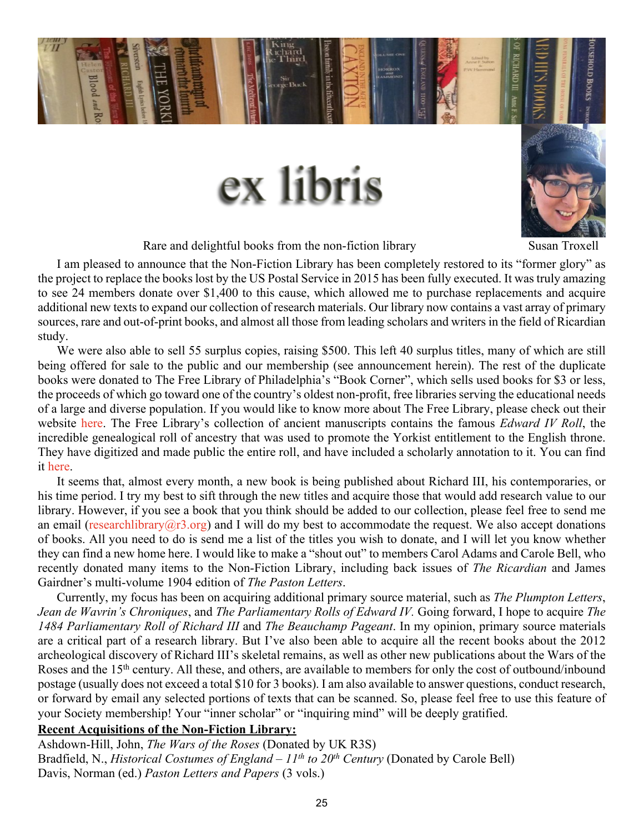<span id="page-24-0"></span>

# ex libris

Rare and delightful books from the non-fiction library Susan Troxell



I am pleased to announce that the Non-Fiction Library has been completely restored to its "former glory" as the project to replace the books lost by the US Postal Service in 2015 has been fully executed. It was truly amazing to see 24 members donate over \$1,400 to this cause, which allowed me to purchase replacements and acquire additional new texts to expand our collection of research materials. Our library now contains a vast array of primary sources, rare and out-of-print books, and almost all those from leading scholars and writers in the field of Ricardian study.

We were also able to sell 55 surplus copies, raising \$500. This left 40 surplus titles, many of which are still being offered for sale to the public and our membership (see announcement herein). The rest of the duplicate books were donated to The Free Library of Philadelphia's "Book Corner", which sells used books for \$3 or less, the proceeds of which go toward one of the country's oldest non-profit, free libraries serving the educational needs of a large and diverse population. If you would like to know more about The Free Library, please check out their website [here.](http://freelibrary.org) The Free Library's collection of ancient manuscripts contains the famous *Edward IV Roll*, the incredible genealogical roll of ancestry that was used to promote the Yorkist entitlement to the English throne. They have digitized and made public the entire roll, and have included a scholarly annotation to it. You can find it [here](http://www.freelibrary.org/medieval/edward.htm).

It seems that, almost every month, a new book is being published about Richard III, his contemporaries, or his time period. I try my best to sift through the new titles and acquire those that would add research value to our library. However, if you see a book that you think should be added to our collection, please feel free to send me an email (researchlibrary $(a \rceil 3 \rceil 3 \rceil a \rceil$ ) and I will do my best to accommodate the request. We also accept donations of books. All you need to do is send me a list of the titles you wish to donate, and I will let you know whether they can find a new home here. I would like to make a "shout out" to members Carol Adams and Carole Bell, who recently donated many items to the Non-Fiction Library, including back issues of *The Ricardian* and James Gairdner's multi-volume 1904 edition of *The Paston Letters*.

Currently, my focus has been on acquiring additional primary source material, such as *The Plumpton Letters*, *Jean de Wavrin's Chroniques*, and *The Parliamentary Rolls of Edward IV.* Going forward, I hope to acquire *The 1484 Parliamentary Roll of Richard III* and *The Beauchamp Pageant*. In my opinion, primary source materials are a critical part of a research library. But I've also been able to acquire all the recent books about the 2012 archeological discovery of Richard III's skeletal remains, as well as other new publications about the Wars of the Roses and the 15th century. All these, and others, are available to members for only the cost of outbound/inbound postage (usually does not exceed a total \$10 for 3 books). I am also available to answer questions, conduct research, or forward by email any selected portions of texts that can be scanned. So, please feel free to use this feature of your Society membership! Your "inner scholar" or "inquiring mind" will be deeply gratified.

#### **Recent Acquisitions of the Non-Fiction Library:**

Ashdown-Hill, John, *The Wars of the Roses* (Donated by UK R3S) Bradfield, N., *Historical Costumes of England – 11th to 20th Century* (Donated by Carole Bell) Davis, Norman (ed.) *Paston Letters and Papers* (3 vols.)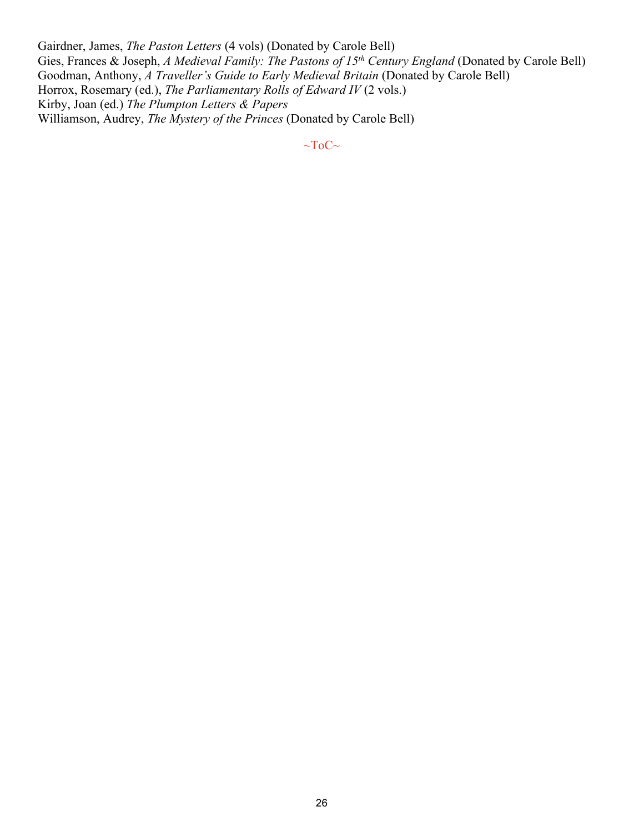Gairdner, James, *The Paston Letters* (4 vols) (Donated by Carole Bell) Gies, Frances & Joseph, *A Medieval Family: The Pastons of 15th Century England* (Donated by Carole Bell) Goodman, Anthony, *A Traveller's Guide to Early Medieval Britain* (Donated by Carole Bell) Horrox, Rosemary (ed.), *The Parliamentary Rolls of Edward IV* (2 vols.) Kirby, Joan (ed.) *The Plumpton Letters & Papers* Williamson, Audrey, *The Mystery of the Princes* (Donated by Carole Bell)

 $~\sim$ ToC $~\sim$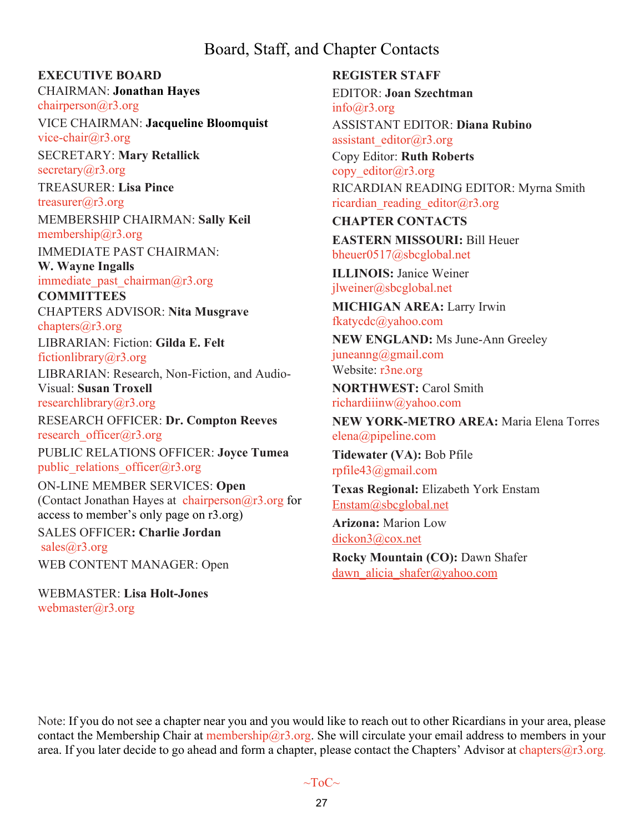# Board, Staff, and Chapter Contacts

#### <span id="page-26-0"></span>**EXECUTIVE BOARD**

CHAIRMAN: **Jonathan Hayes** [chairperson@r3.org](mailto:chairperson@r3.org)

VICE CHAIRMAN: **Jacqueline Bloomquist** [vice-chair@r3.org](mailto:vice-chair@r3.org)

SECRETARY: **Mary Retallick** secretary $(a)$ r3.org

TREASURER: **Lisa Pince** [treasurer@r3.org](mailto:treasurer@r3.org) MEMBERSHIP CHAIRMAN: **Sally Keil** membership@ $r3.org$ 

IMMEDIATE PAST CHAIRMAN: **W. Wayne Ingalls**

immediate past chairman $@r3.org$ **COMMITTEES**

CHAPTERS ADVISOR: **Nita Musgrave** [chapters@r3.org](mailto:chapters@r3.org)

LIBRARIAN: Fiction: **Gilda E. Felt** [fictionlibrary@r3.org](mailto:fictionlibrary@r3.org)

LIBRARIAN: Research, Non-Fiction, and Audio-Visual: **Susan Troxell**

[researchlibrary@r3.org](mailto:researchlibrary@r3.org)

RESEARCH OFFICER: **Dr. Compton Reeves** research officer@r3.org

PUBLIC RELATIONS OFFICER: **Joyce Tumea** public relations officer $@r3.org$ 

ON-LINE MEMBER SERVICES: **Open** (Contact Jonathan Hayes at chairperson $@r3.org$  for access to member's only page on r3.org) SALES OFFICER**: Charlie Jordan** [sales@r3.org](mailto:sales@r3.org)

WEB CONTENT MANAGER: Open

WEBMASTER: **Lisa Holt-Jones** [webmaster@r3.org](mailto:webmaster@r3.org)

**REGISTER STAFF** EDITOR: **Joan Szechtman** [info@r3.org](mailto:info@r3.org) ASSISTANT EDITOR: **Diana Rubino** [assistant\\_editor@r3.org](mailto:assistant_editor@r3.org) Copy Editor: **Ruth Roberts** copy editor@r3.org RICARDIAN READING EDITOR: Myrna Smith ricardian reading editor@r3.org **CHAPTER CONTACTS EASTERN MISSOURI:** Bill Heuer [bheuer0517@sbcglobal.net](mailto:bheuer0517@sbcglobal.net) **ILLINOIS:** Janice Weiner [jlweiner@sbcglobal.net](mailto:jlweiner@sbcglobal.net) **MICHIGAN AREA:** Larry Irwin [fkatycdc@yahoo.com](mailto:fkatycdc@yahoo.com) **NEW ENGLAND:** Ms June-Ann Greeley [juneanng@gmail.com](mailto:juneanng@gmail.com) Website: [r3ne.org](http://r3ne.org/) **NORTHWEST:** Carol Smith [richardiiinw@yahoo.com](mailto:richardiiinw@yahoo.com) **NEW YORK-METRO AREA:** Maria Elena Torres [elena@pipeline.com](mailto:elena@pipeline.com) **Tidewater (VA):** Bob Pfile [rpfile43@gmail.com](mailto:rpfile43@gmail.com) **Texas Regional:** Elizabeth York Enstam [Enstam@sbcglobal.net](mailto:Enstam@sbcglobal.net) **Arizona:** Marion Low [dickon3@cox.net](mailto:dickon3@cox.net) **Rocky Mountain (CO):** Dawn Shafer

dawn alicia shafer@yahoo.com

Note: If you do not see a chapter near you and you would like to reach out to other Ricardians in your area, please contact the Membership Chair at [membership@r3.org.](mailto:membership@r3.org) She will circulate your email address to members in your area. If you later decide to go ahead and form a chapter, please contact the Chapters' Advisor at [chapters@r3.org](mailto:chapters@r3.org).

 $\sim$ ToC $\sim$